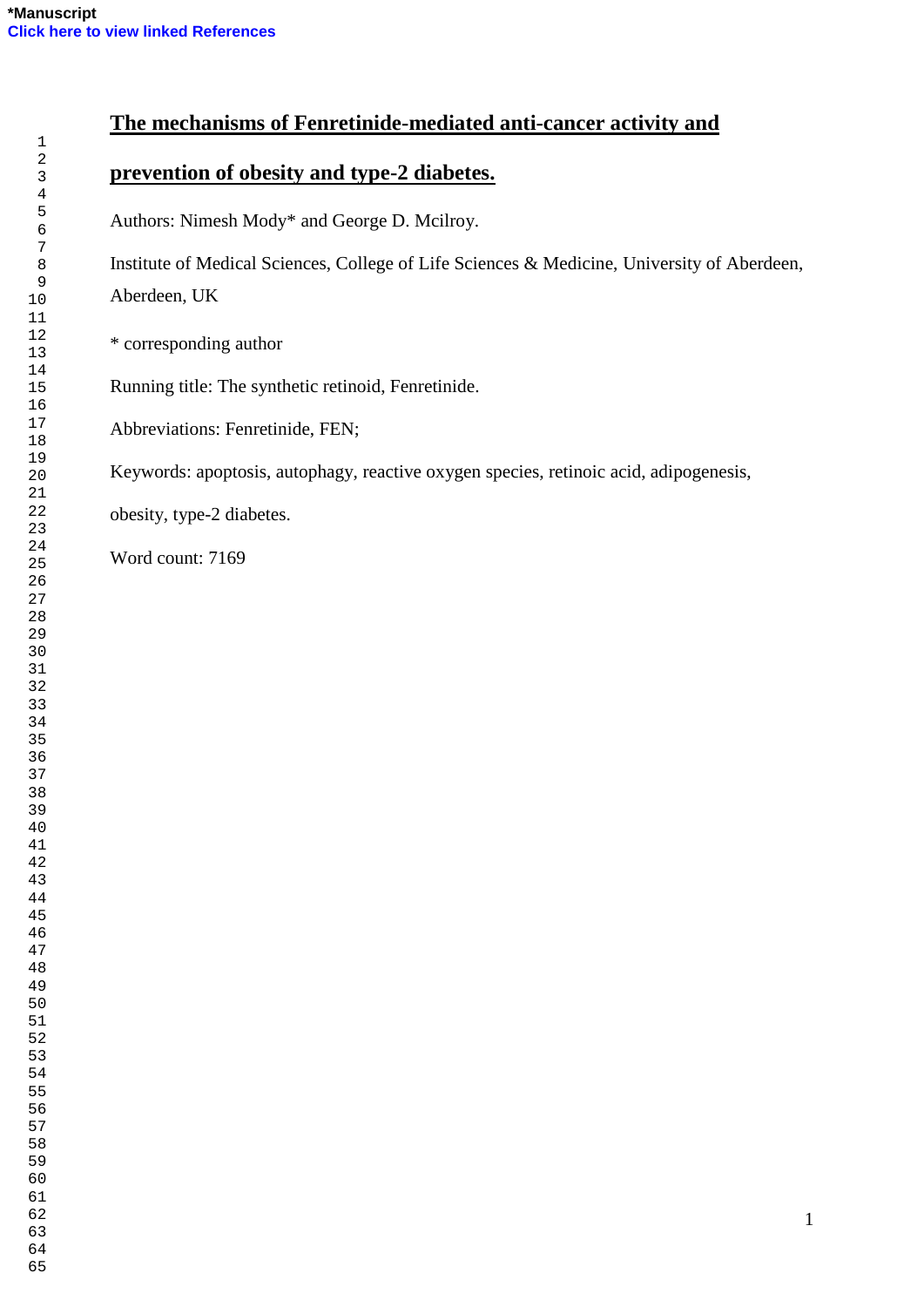# **The mechanisms of Fenretinide-mediated anti-cancer activity and**

## **prevention of obesity and type-2 diabetes.**

Authors: Nimesh Mody\* and George D. Mcilroy.

Institute of Medical Sciences, College of Life Sciences & Medicine, University of Aberdeen, Aberdeen, UK

\* corresponding author

Running title: The synthetic retinoid, Fenretinide.

Abbreviations: Fenretinide, FEN;

Keywords: apoptosis, autophagy, reactive oxygen species, retinoic acid, adipogenesis,

obesity, type-2 diabetes.

Word count: 7169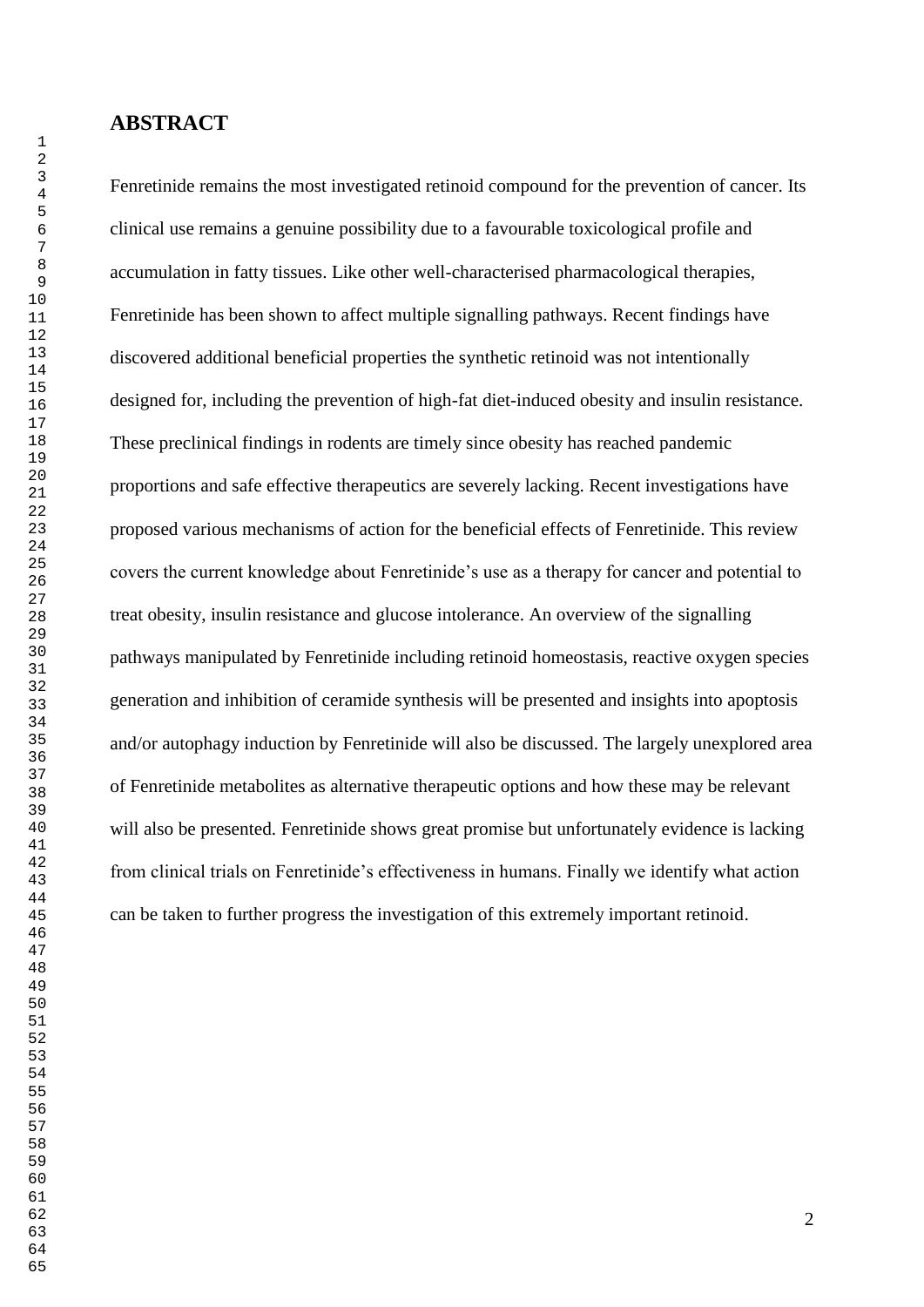## **ABSTRACT**

Fenretinide remains the most investigated retinoid compound for the prevention of cancer. Its clinical use remains a genuine possibility due to a favourable toxicological profile and accumulation in fatty tissues. Like other well-characterised pharmacological therapies, Fenretinide has been shown to affect multiple signalling pathways. Recent findings have discovered additional beneficial properties the synthetic retinoid was not intentionally designed for, including the prevention of high-fat diet-induced obesity and insulin resistance. These preclinical findings in rodents are timely since obesity has reached pandemic proportions and safe effective therapeutics are severely lacking. Recent investigations have proposed various mechanisms of action for the beneficial effects of Fenretinide. This review covers the current knowledge about Fenretinide"s use as a therapy for cancer and potential to treat obesity, insulin resistance and glucose intolerance. An overview of the signalling pathways manipulated by Fenretinide including retinoid homeostasis, reactive oxygen species generation and inhibition of ceramide synthesis will be presented and insights into apoptosis and/or autophagy induction by Fenretinide will also be discussed. The largely unexplored area of Fenretinide metabolites as alternative therapeutic options and how these may be relevant will also be presented. Fenretinide shows great promise but unfortunately evidence is lacking from clinical trials on Fenretinide"s effectiveness in humans. Finally we identify what action can be taken to further progress the investigation of this extremely important retinoid.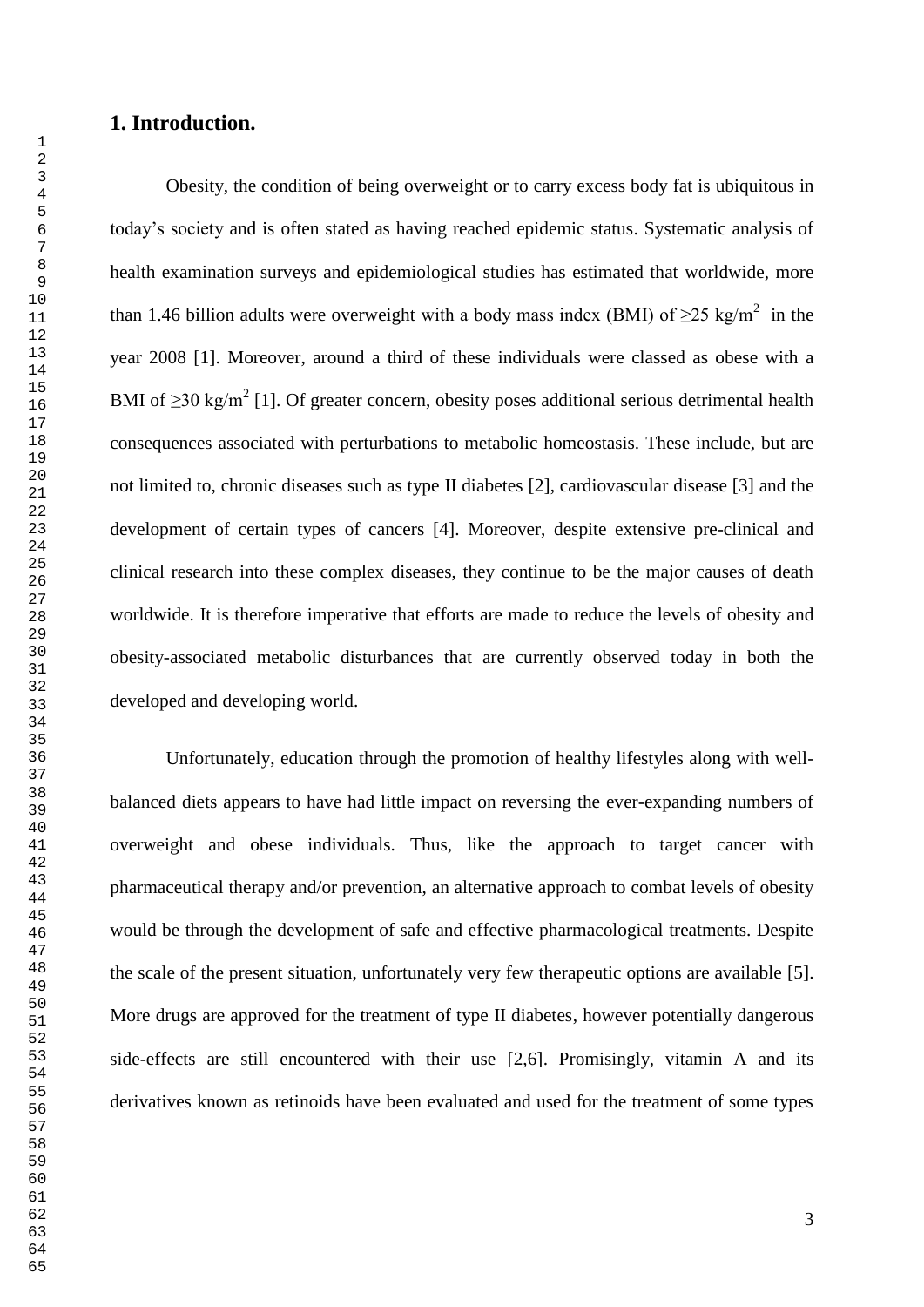## **1. Introduction.**

Obesity, the condition of being overweight or to carry excess body fat is ubiquitous in today"s society and is often stated as having reached epidemic status. Systematic analysis of health examination surveys and epidemiological studies has estimated that worldwide, more than 1.46 billion adults were overweight with a body mass index (BMI) of  $\geq$ 25 kg/m<sup>2</sup> in the year 2008 [1]. Moreover, around a third of these individuals were classed as obese with a BMI of  $\geq$ 30 kg/m<sup>2</sup> [1]. Of greater concern, obesity poses additional serious detrimental health consequences associated with perturbations to metabolic homeostasis. These include, but are not limited to, chronic diseases such as type II diabetes [2], cardiovascular disease [3] and the development of certain types of cancers [4]. Moreover, despite extensive pre-clinical and clinical research into these complex diseases, they continue to be the major causes of death worldwide. It is therefore imperative that efforts are made to reduce the levels of obesity and obesity-associated metabolic disturbances that are currently observed today in both the developed and developing world.

Unfortunately, education through the promotion of healthy lifestyles along with wellbalanced diets appears to have had little impact on reversing the ever-expanding numbers of overweight and obese individuals. Thus, like the approach to target cancer with pharmaceutical therapy and/or prevention, an alternative approach to combat levels of obesity would be through the development of safe and effective pharmacological treatments. Despite the scale of the present situation, unfortunately very few therapeutic options are available [5]. More drugs are approved for the treatment of type II diabetes, however potentially dangerous side-effects are still encountered with their use [2,6]. Promisingly, vitamin A and its derivatives known as retinoids have been evaluated and used for the treatment of some types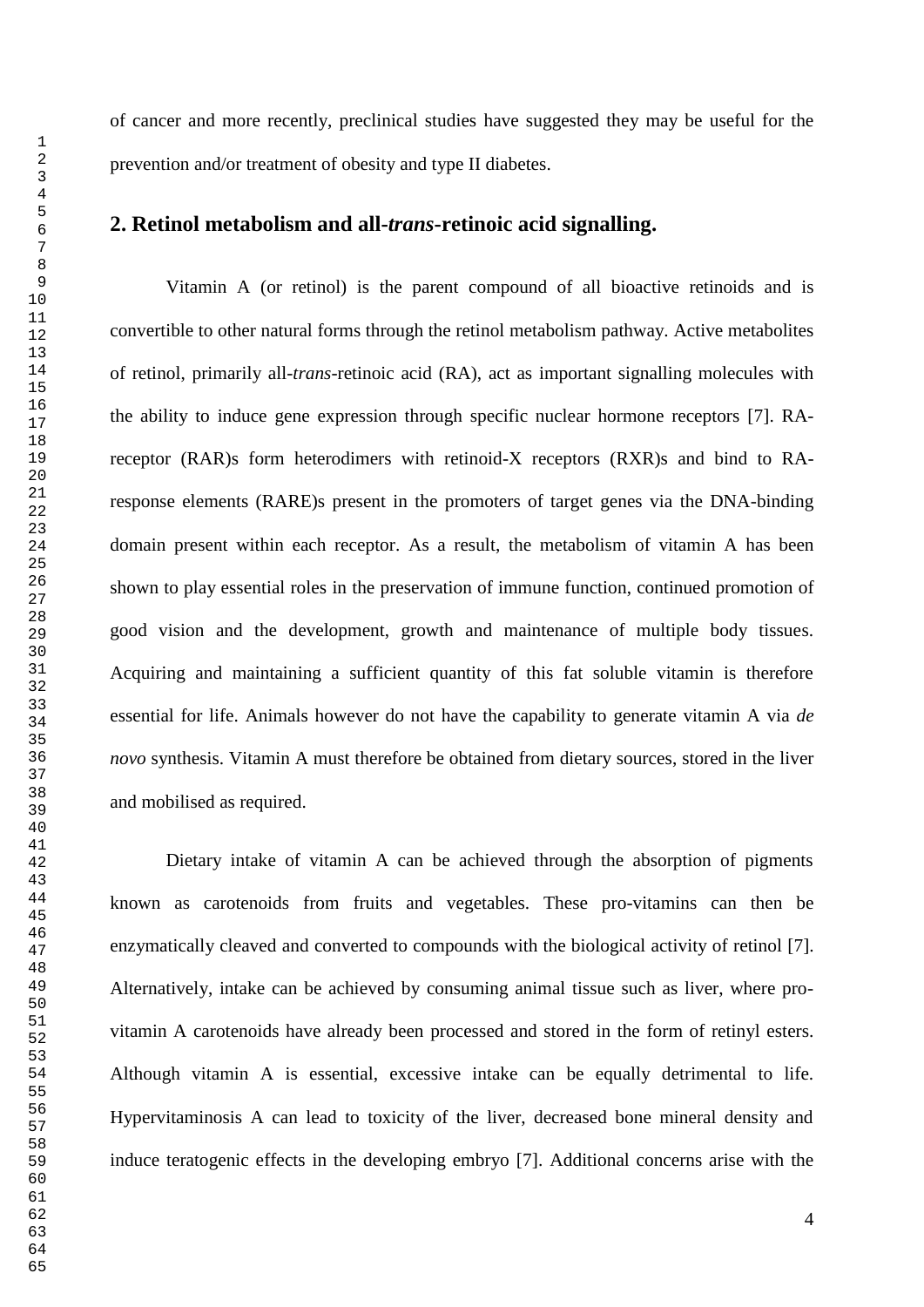of cancer and more recently, preclinical studies have suggested they may be useful for the prevention and/or treatment of obesity and type II diabetes.

## **2. Retinol metabolism and all-***trans***-retinoic acid signalling.**

Vitamin A (or retinol) is the parent compound of all bioactive retinoids and is convertible to other natural forms through the retinol metabolism pathway. Active metabolites of retinol, primarily all-*trans*-retinoic acid (RA), act as important signalling molecules with the ability to induce gene expression through specific nuclear hormone receptors [7]. RAreceptor (RAR)s form heterodimers with retinoid-X receptors (RXR)s and bind to RAresponse elements (RARE)s present in the promoters of target genes via the DNA-binding domain present within each receptor. As a result, the metabolism of vitamin A has been shown to play essential roles in the preservation of immune function, continued promotion of good vision and the development, growth and maintenance of multiple body tissues. Acquiring and maintaining a sufficient quantity of this fat soluble vitamin is therefore essential for life. Animals however do not have the capability to generate vitamin A via *de novo* synthesis. Vitamin A must therefore be obtained from dietary sources, stored in the liver and mobilised as required.

Dietary intake of vitamin A can be achieved through the absorption of pigments known as carotenoids from fruits and vegetables. These pro-vitamins can then be enzymatically cleaved and converted to compounds with the biological activity of retinol [7]. Alternatively, intake can be achieved by consuming animal tissue such as liver, where provitamin A carotenoids have already been processed and stored in the form of retinyl esters. Although vitamin A is essential, excessive intake can be equally detrimental to life. Hypervitaminosis A can lead to toxicity of the liver, decreased bone mineral density and induce teratogenic effects in the developing embryo [7]. Additional concerns arise with the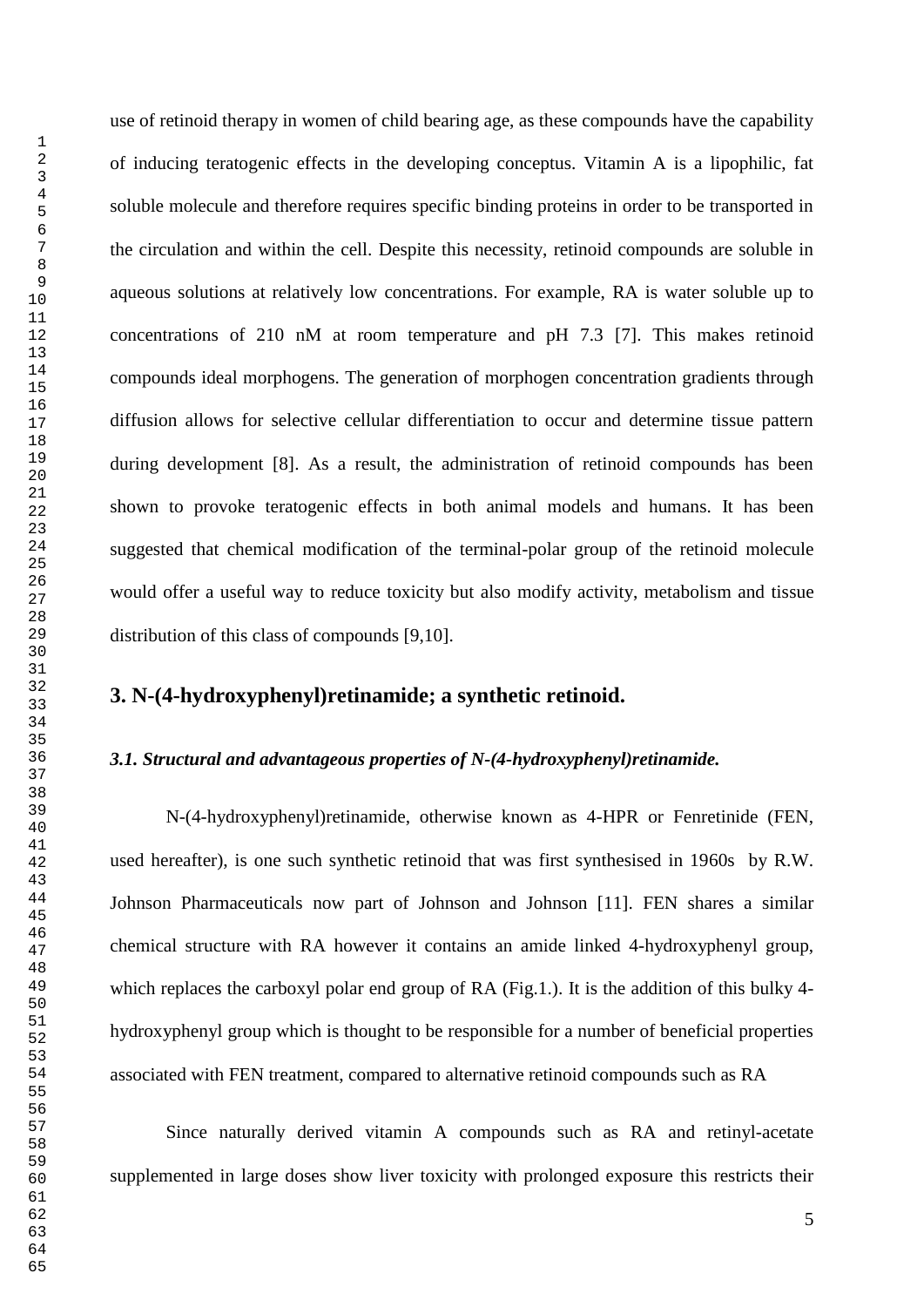use of retinoid therapy in women of child bearing age, as these compounds have the capability of inducing teratogenic effects in the developing conceptus. Vitamin A is a lipophilic, fat soluble molecule and therefore requires specific binding proteins in order to be transported in the circulation and within the cell. Despite this necessity, retinoid compounds are soluble in aqueous solutions at relatively low concentrations. For example, RA is water soluble up to concentrations of 210 nM at room temperature and pH 7.3 [7]. This makes retinoid compounds ideal morphogens. The generation of morphogen concentration gradients through diffusion allows for selective cellular differentiation to occur and determine tissue pattern during development [8]. As a result, the administration of retinoid compounds has been shown to provoke teratogenic effects in both animal models and humans. It has been suggested that chemical modification of the terminal-polar group of the retinoid molecule would offer a useful way to reduce toxicity but also modify activity, metabolism and tissue distribution of this class of compounds [9,10].

## **3. N-(4-hydroxyphenyl)retinamide; a synthetic retinoid.**

#### *3.1. Structural and advantageous properties of N-(4-hydroxyphenyl)retinamide.*

N-(4-hydroxyphenyl)retinamide, otherwise known as 4-HPR or Fenretinide (FEN, used hereafter), is one such synthetic retinoid that was first synthesised in 1960s by R.W. Johnson Pharmaceuticals now part of Johnson and Johnson [11]. FEN shares a similar chemical structure with RA however it contains an amide linked 4-hydroxyphenyl group, which replaces the carboxyl polar end group of RA (Fig.1.). It is the addition of this bulky 4hydroxyphenyl group which is thought to be responsible for a number of beneficial properties associated with FEN treatment, compared to alternative retinoid compounds such as RA

Since naturally derived vitamin A compounds such as RA and retinyl-acetate supplemented in large doses show liver toxicity with prolonged exposure this restricts their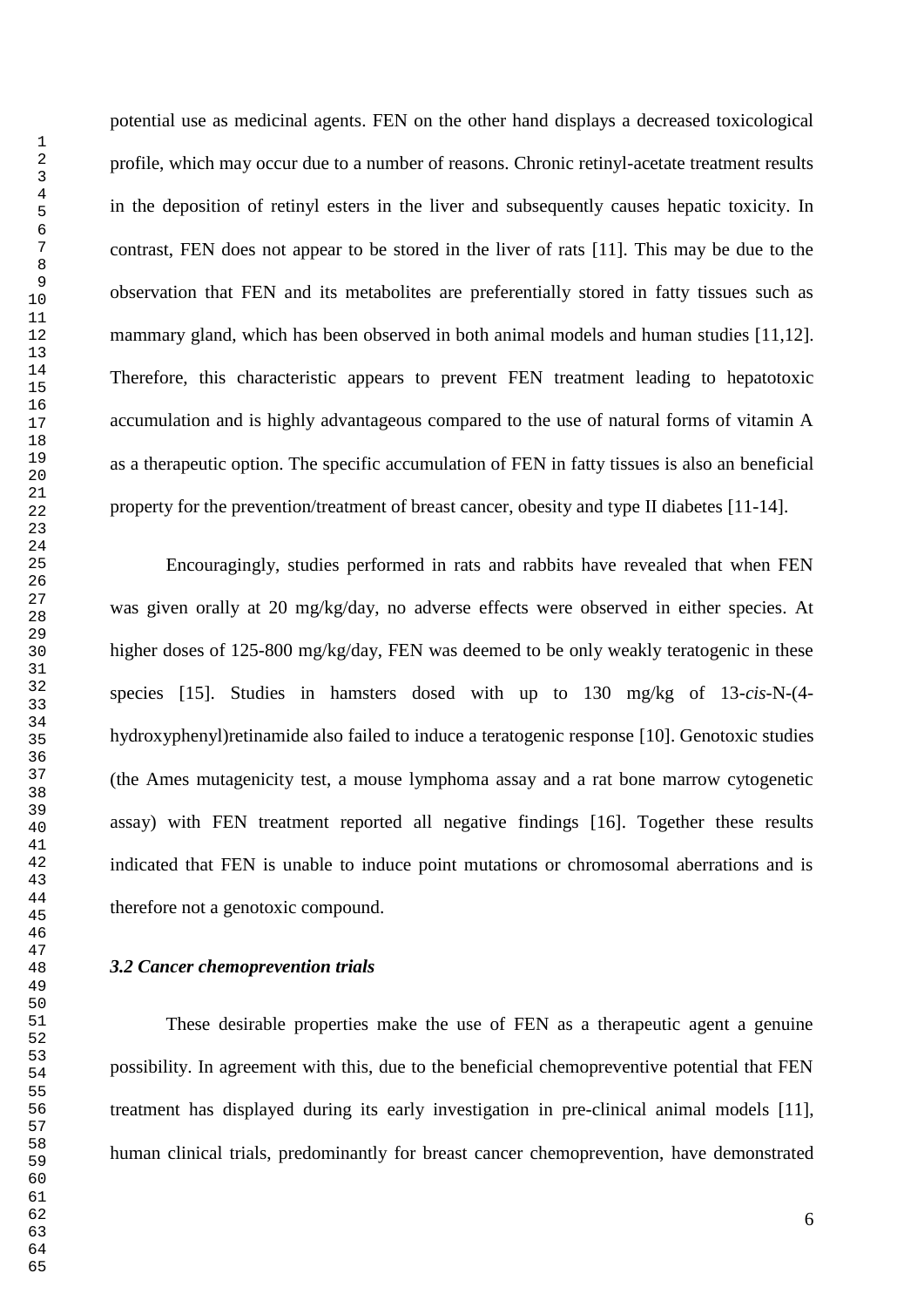potential use as medicinal agents. FEN on the other hand displays a decreased toxicological profile, which may occur due to a number of reasons. Chronic retinyl-acetate treatment results in the deposition of retinyl esters in the liver and subsequently causes hepatic toxicity. In contrast, FEN does not appear to be stored in the liver of rats [11]. This may be due to the observation that FEN and its metabolites are preferentially stored in fatty tissues such as mammary gland, which has been observed in both animal models and human studies [11,12]. Therefore, this characteristic appears to prevent FEN treatment leading to hepatotoxic accumulation and is highly advantageous compared to the use of natural forms of vitamin A as a therapeutic option. The specific accumulation of FEN in fatty tissues is also an beneficial property for the prevention/treatment of breast cancer, obesity and type II diabetes [11-14].

Encouragingly, studies performed in rats and rabbits have revealed that when FEN was given orally at 20 mg/kg/day, no adverse effects were observed in either species. At higher doses of 125-800 mg/kg/day, FEN was deemed to be only weakly teratogenic in these species [15]. Studies in hamsters dosed with up to 130 mg/kg of 13-*cis*-N-(4 hydroxyphenyl)retinamide also failed to induce a teratogenic response [10]. Genotoxic studies (the Ames mutagenicity test, a mouse lymphoma assay and a rat bone marrow cytogenetic assay) with FEN treatment reported all negative findings [16]. Together these results indicated that FEN is unable to induce point mutations or chromosomal aberrations and is therefore not a genotoxic compound.

#### *3.2 Cancer chemoprevention trials*

These desirable properties make the use of FEN as a therapeutic agent a genuine possibility. In agreement with this, due to the beneficial chemopreventive potential that FEN treatment has displayed during its early investigation in pre-clinical animal models [11], human clinical trials, predominantly for breast cancer chemoprevention, have demonstrated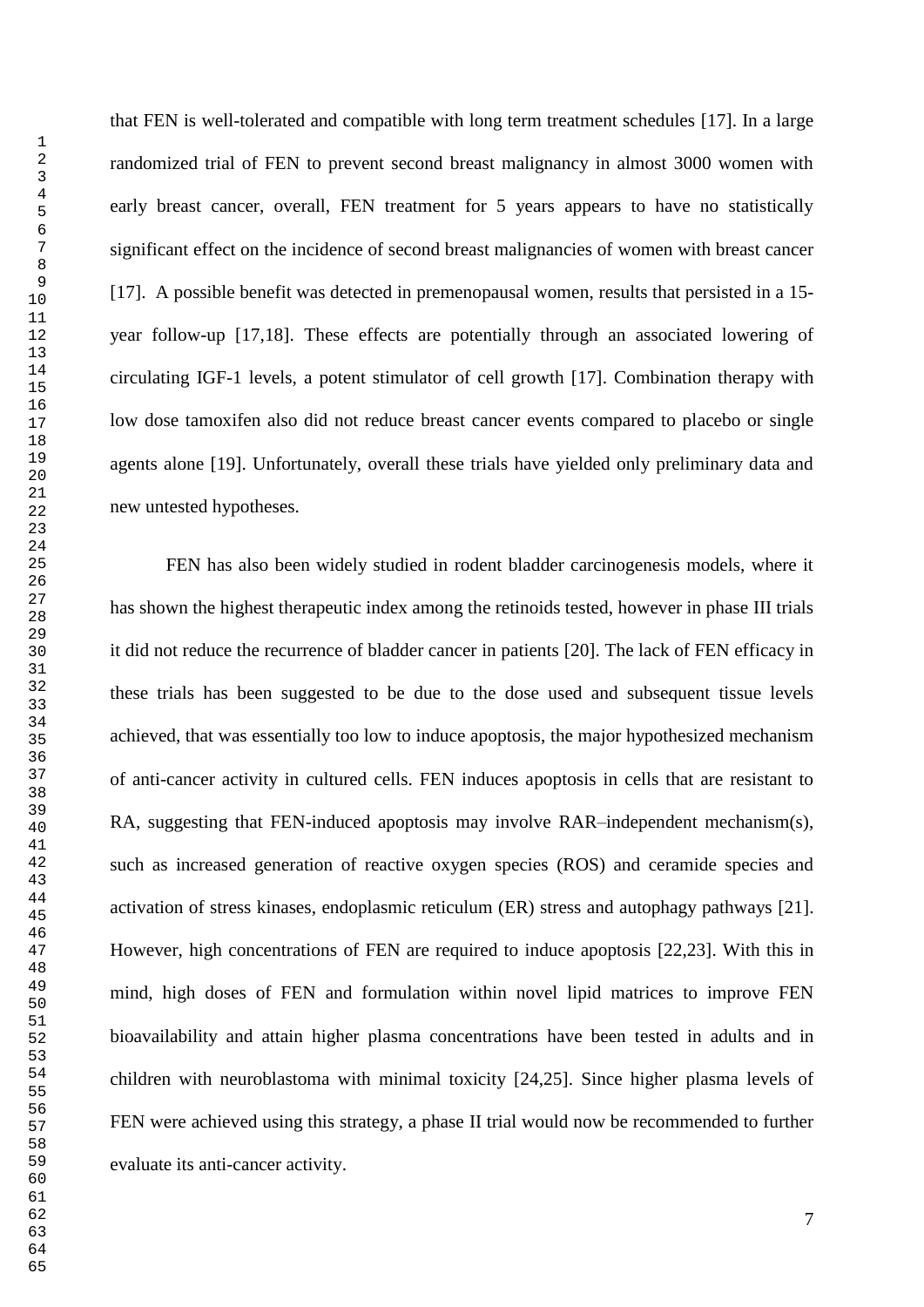that FEN is well-tolerated and compatible with long term treatment schedules [17]. In a large randomized trial of FEN to prevent second breast malignancy in almost 3000 women with early breast cancer, overall, FEN treatment for 5 years appears to have no statistically significant effect on the incidence of second breast malignancies of women with breast cancer [17]. A possible benefit was detected in premenopausal women, results that persisted in a 15 year follow-up [17,18]. These effects are potentially through an associated lowering of circulating IGF-1 levels, a potent stimulator of cell growth [17]. Combination therapy with low dose tamoxifen also did not reduce breast cancer events compared to placebo or single agents alone [19]. Unfortunately, overall these trials have yielded only preliminary data and new untested hypotheses.

FEN has also been widely studied in rodent bladder carcinogenesis models, where it has shown the highest therapeutic index among the retinoids tested, however in phase III trials it did not reduce the recurrence of bladder cancer in patients [20]. The lack of FEN efficacy in these trials has been suggested to be due to the dose used and subsequent tissue levels achieved, that was essentially too low to induce apoptosis, the major hypothesized mechanism of anti-cancer activity in cultured cells. FEN induces apoptosis in cells that are resistant to RA, suggesting that FEN-induced apoptosis may involve RAR–independent mechanism(s), such as increased generation of reactive oxygen species (ROS) and ceramide species and activation of stress kinases, endoplasmic reticulum (ER) stress and autophagy pathways [21]. However, high concentrations of FEN are required to induce apoptosis [22,23]. With this in mind, high doses of FEN and formulation within novel lipid matrices to improve FEN bioavailability and attain higher plasma concentrations have been tested in adults and in children with neuroblastoma with minimal toxicity [24,25]. Since higher plasma levels of FEN were achieved using this strategy, a phase II trial would now be recommended to further evaluate its anti-cancer activity.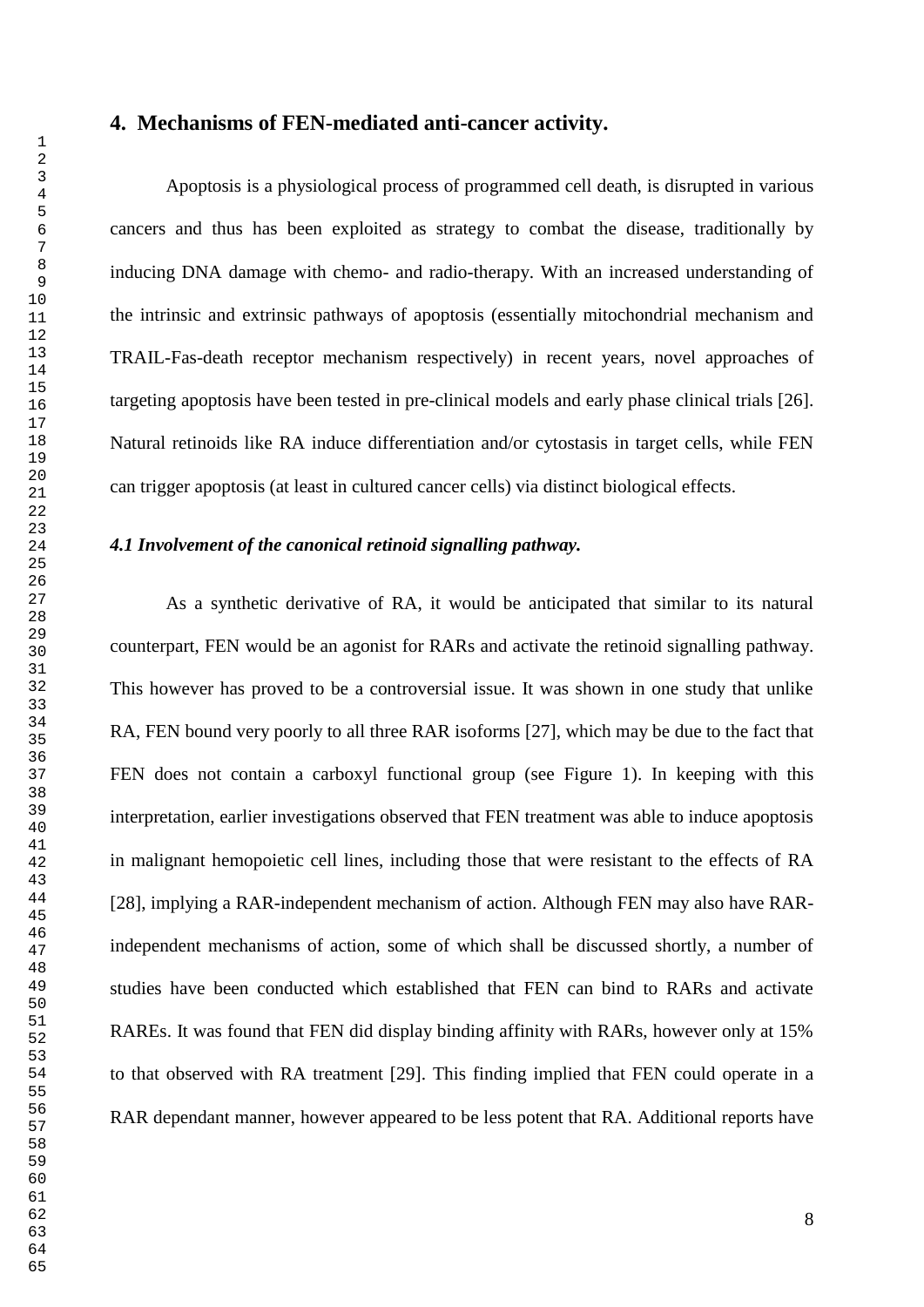#### **4. Mechanisms of FEN-mediated anti-cancer activity.**

Apoptosis is a physiological process of programmed cell death, is disrupted in various cancers and thus has been exploited as strategy to combat the disease, traditionally by inducing DNA damage with chemo- and radio-therapy. With an increased understanding of the intrinsic and extrinsic pathways of apoptosis (essentially mitochondrial mechanism and TRAIL-Fas-death receptor mechanism respectively) in recent years, novel approaches of targeting apoptosis have been tested in pre-clinical models and early phase clinical trials [26]. Natural retinoids like RA induce differentiation and/or cytostasis in target cells, while FEN can trigger apoptosis (at least in cultured cancer cells) via distinct biological effects.

#### *4.1 Involvement of the canonical retinoid signalling pathway.*

As a synthetic derivative of RA, it would be anticipated that similar to its natural counterpart, FEN would be an agonist for RARs and activate the retinoid signalling pathway. This however has proved to be a controversial issue. It was shown in one study that unlike RA, FEN bound very poorly to all three RAR isoforms [27], which may be due to the fact that FEN does not contain a carboxyl functional group (see Figure 1). In keeping with this interpretation, earlier investigations observed that FEN treatment was able to induce apoptosis in malignant hemopoietic cell lines, including those that were resistant to the effects of RA [28], implying a RAR-independent mechanism of action. Although FEN may also have RARindependent mechanisms of action, some of which shall be discussed shortly, a number of studies have been conducted which established that FEN can bind to RARs and activate RAREs. It was found that FEN did display binding affinity with RARs, however only at 15% to that observed with RA treatment [29]. This finding implied that FEN could operate in a RAR dependant manner, however appeared to be less potent that RA. Additional reports have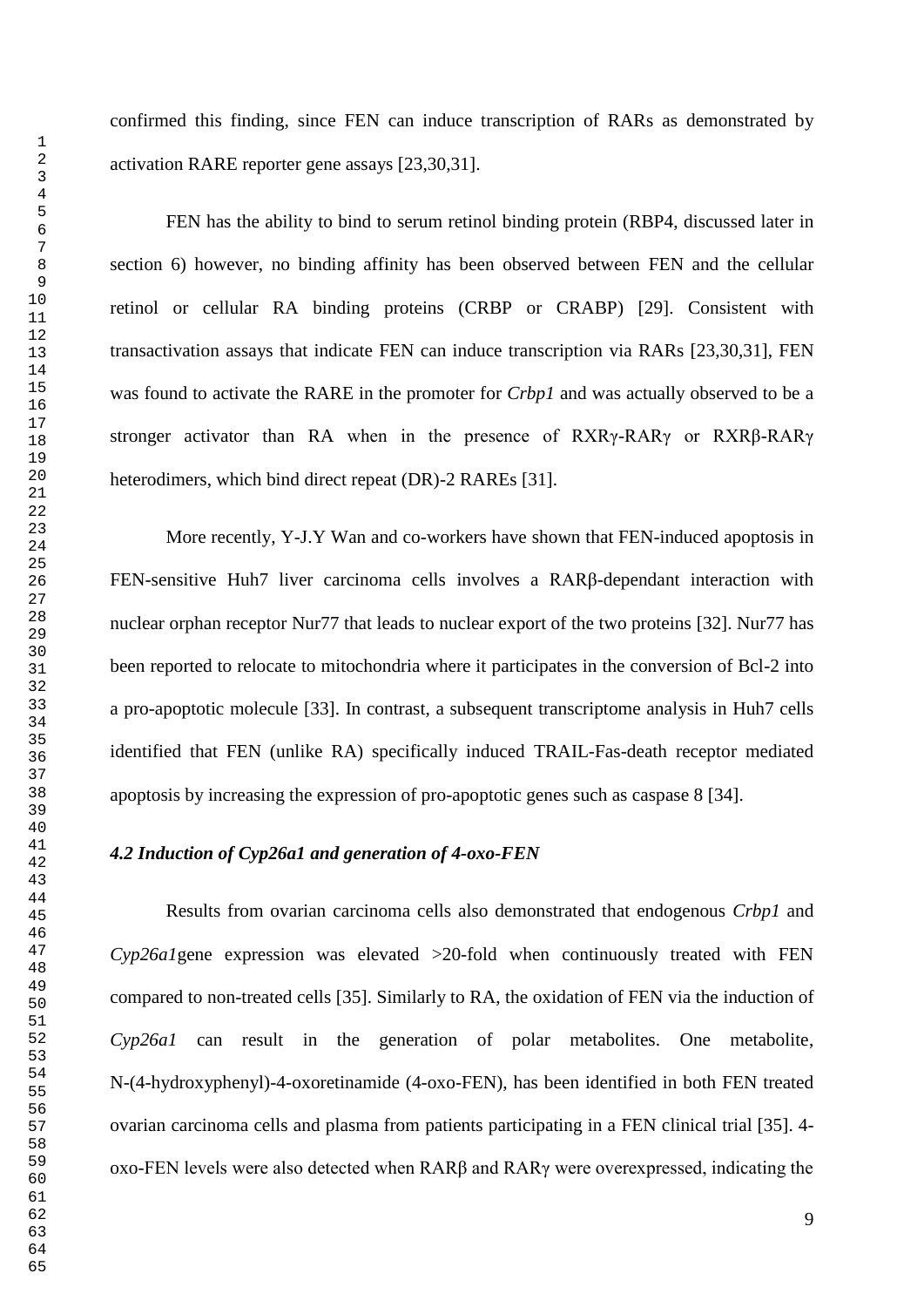FEN has the ability to bind to serum retinol binding protein (RBP4, discussed later in section 6) however, no binding affinity has been observed between FEN and the cellular retinol or cellular RA binding proteins (CRBP or CRABP) [29]. Consistent with transactivation assays that indicate FEN can induce transcription via RARs [23,30,31], FEN was found to activate the RARE in the promoter for *Crbp1* and was actually observed to be a stronger activator than RA when in the presence of RXRγ-RARγ or RXRβ-RARγ heterodimers, which bind direct repeat (DR)-2 RAREs [31].

More recently, Y-J.Y Wan and co-workers have shown that FEN-induced apoptosis in FEN-sensitive Huh7 liver carcinoma cells involves a RARβ-dependant interaction with nuclear orphan receptor Nur77 that leads to nuclear export of the two proteins [32]. Nur77 has been reported to relocate to mitochondria where it participates in the conversion of Bcl-2 into a pro-apoptotic molecule [33]. In contrast, a subsequent transcriptome analysis in Huh7 cells identified that FEN (unlike RA) specifically induced TRAIL-Fas-death receptor mediated apoptosis by increasing the expression of pro-apoptotic genes such as caspase 8 [34].

## *4.2 Induction of Cyp26a1 and generation of 4-oxo-FEN*

Results from ovarian carcinoma cells also demonstrated that endogenous *Crbp1* and *Cyp26a1*gene expression was elevated >20-fold when continuously treated with FEN compared to non-treated cells [35]. Similarly to RA, the oxidation of FEN via the induction of *Cyp26a1* can result in the generation of polar metabolites. One metabolite, N-(4-hydroxyphenyl)-4-oxoretinamide (4-oxo-FEN), has been identified in both FEN treated ovarian carcinoma cells and plasma from patients participating in a FEN clinical trial [35]. 4 oxo-FEN levels were also detected when RARβ and RARγ were overexpressed, indicating the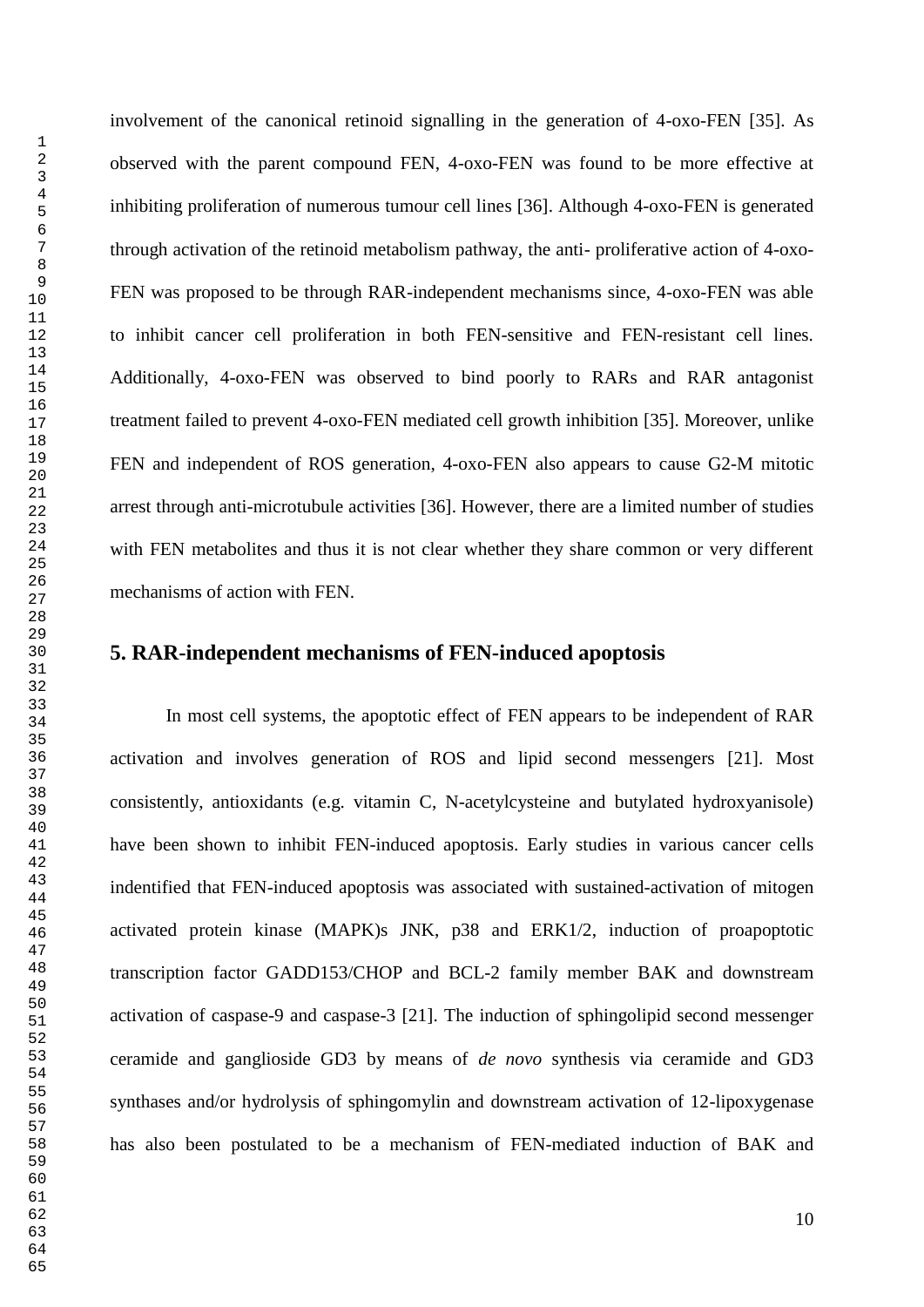involvement of the canonical retinoid signalling in the generation of 4-oxo-FEN [35]. As observed with the parent compound FEN, 4-oxo-FEN was found to be more effective at inhibiting proliferation of numerous tumour cell lines [36]. Although 4-oxo-FEN is generated through activation of the retinoid metabolism pathway, the anti- proliferative action of 4-oxo-FEN was proposed to be through RAR-independent mechanisms since, 4-oxo-FEN was able to inhibit cancer cell proliferation in both FEN-sensitive and FEN-resistant cell lines. Additionally, 4-oxo-FEN was observed to bind poorly to RARs and RAR antagonist treatment failed to prevent 4-oxo-FEN mediated cell growth inhibition [35]. Moreover, unlike FEN and independent of ROS generation, 4-oxo-FEN also appears to cause G2-M mitotic arrest through anti-microtubule activities [36]. However, there are a limited number of studies with FEN metabolites and thus it is not clear whether they share common or very different mechanisms of action with FEN.

# **5. RAR-independent mechanisms of FEN-induced apoptosis**

In most cell systems, the apoptotic effect of FEN appears to be independent of RAR activation and involves generation of ROS and lipid second messengers [21]. Most consistently, antioxidants (e.g. vitamin C, N-acetylcysteine and butylated hydroxyanisole) have been shown to inhibit FEN-induced apoptosis. Early studies in various cancer cells indentified that FEN-induced apoptosis was associated with sustained-activation of mitogen activated protein kinase (MAPK)s JNK, p38 and ERK1/2, induction of proapoptotic transcription factor GADD153/CHOP and BCL-2 family member BAK and downstream activation of caspase-9 and caspase-3 [21]. The induction of sphingolipid second messenger ceramide and ganglioside GD3 by means of *de novo* synthesis via ceramide and GD3 synthases and/or hydrolysis of sphingomylin and downstream activation of 12-lipoxygenase has also been postulated to be a mechanism of FEN-mediated induction of BAK and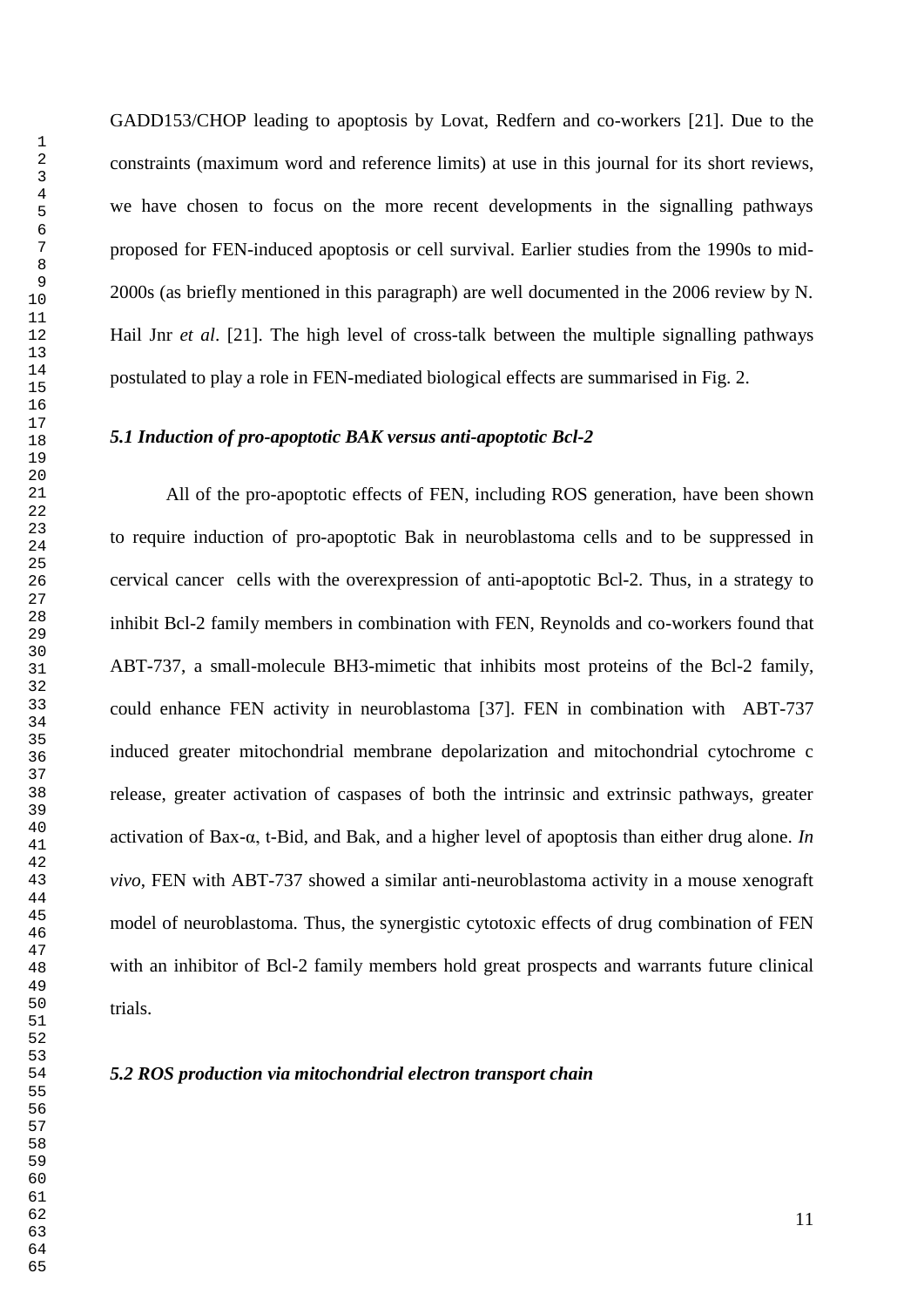GADD153/CHOP leading to apoptosis by Lovat, Redfern and co-workers [21]. Due to the constraints (maximum word and reference limits) at use in this journal for its short reviews, we have chosen to focus on the more recent developments in the signalling pathways proposed for FEN-induced apoptosis or cell survival. Earlier studies from the 1990s to mid-2000s (as briefly mentioned in this paragraph) are well documented in the 2006 review by N. Hail Jnr *et al*. [21]. The high level of cross-talk between the multiple signalling pathways postulated to play a role in FEN-mediated biological effects are summarised in Fig. 2.

#### *5.1 Induction of pro-apoptotic BAK versus anti-apoptotic Bcl-2*

All of the pro-apoptotic effects of FEN, including ROS generation, have been shown to require induction of pro-apoptotic Bak in neuroblastoma cells and to be suppressed in cervical cancer cells with the overexpression of anti-apoptotic Bcl-2. Thus, in a strategy to inhibit Bcl-2 family members in combination with FEN, Reynolds and co-workers found that ABT-737, a small-molecule BH3-mimetic that inhibits most proteins of the Bcl-2 family, could enhance FEN activity in neuroblastoma [37]. FEN in combination with ABT-737 induced greater mitochondrial membrane depolarization and mitochondrial cytochrome c release, greater activation of caspases of both the intrinsic and extrinsic pathways, greater activation of Bax-α, t-Bid, and Bak, and a higher level of apoptosis than either drug alone. *In vivo*, FEN with ABT-737 showed a similar anti-neuroblastoma activity in a mouse xenograft model of neuroblastoma. Thus, the synergistic cytotoxic effects of drug combination of FEN with an inhibitor of Bcl-2 family members hold great prospects and warrants future clinical trials.

#### *5.2 ROS production via mitochondrial electron transport chain*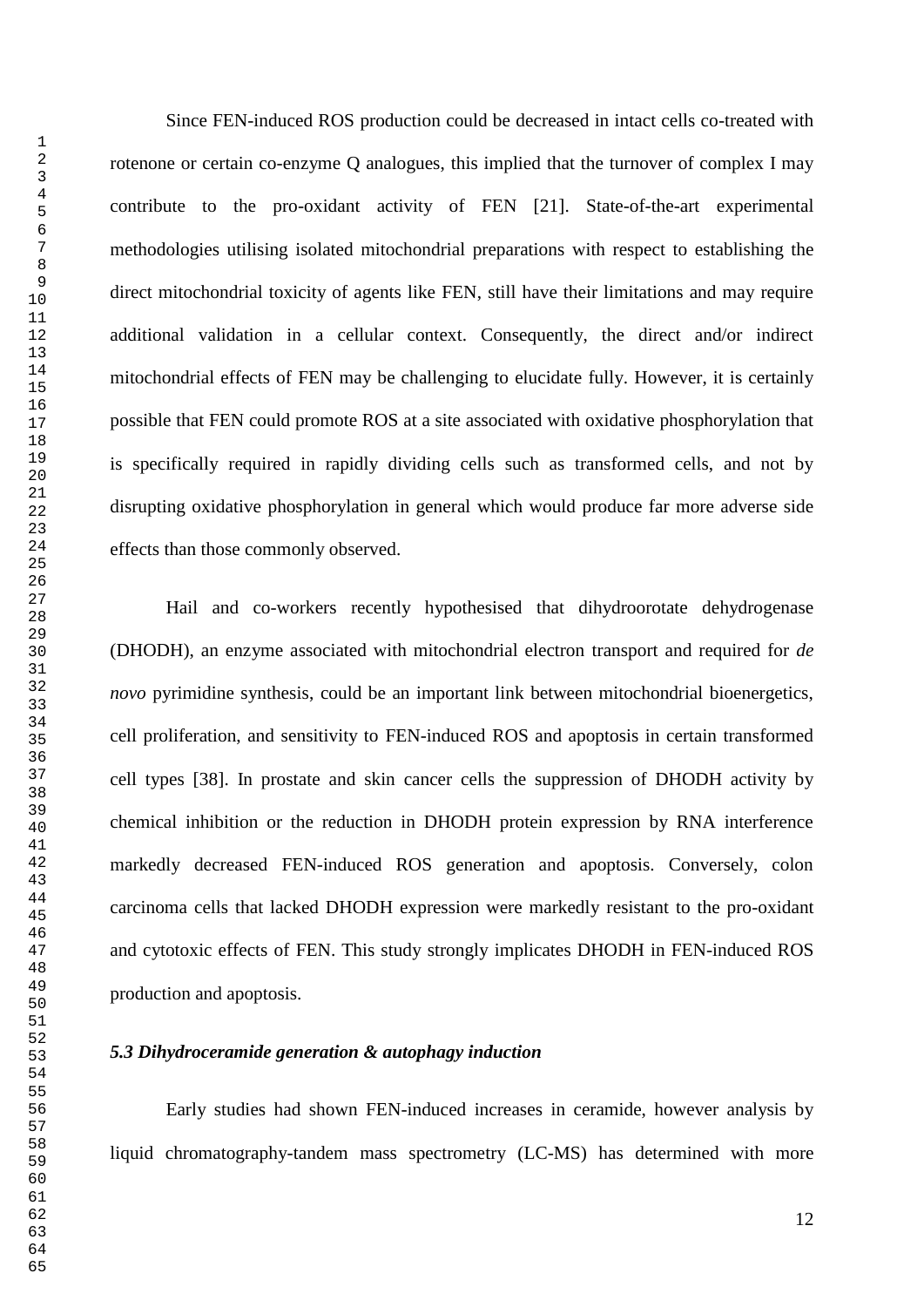Since FEN-induced ROS production could be decreased in intact cells co-treated with rotenone or certain co-enzyme Q analogues, this implied that the turnover of complex I may contribute to the pro-oxidant activity of FEN [21]. State-of-the-art experimental methodologies utilising isolated mitochondrial preparations with respect to establishing the direct mitochondrial toxicity of agents like FEN, still have their limitations and may require additional validation in a cellular context. Consequently, the direct and/or indirect mitochondrial effects of FEN may be challenging to elucidate fully. However, it is certainly possible that FEN could promote ROS at a site associated with oxidative phosphorylation that is specifically required in rapidly dividing cells such as transformed cells, and not by disrupting oxidative phosphorylation in general which would produce far more adverse side effects than those commonly observed.

Hail and co-workers recently hypothesised that dihydroorotate dehydrogenase (DHODH), an enzyme associated with mitochondrial electron transport and required for *de novo* pyrimidine synthesis, could be an important link between mitochondrial bioenergetics, cell proliferation, and sensitivity to FEN-induced ROS and apoptosis in certain transformed cell types [38]. In prostate and skin cancer cells the suppression of DHODH activity by chemical inhibition or the reduction in DHODH protein expression by RNA interference markedly decreased FEN-induced ROS generation and apoptosis. Conversely, colon carcinoma cells that lacked DHODH expression were markedly resistant to the pro-oxidant and cytotoxic effects of FEN. This study strongly implicates DHODH in FEN-induced ROS production and apoptosis.

## *5.3 Dihydroceramide generation & autophagy induction*

Early studies had shown FEN-induced increases in ceramide, however analysis by liquid chromatography-tandem mass spectrometry (LC-MS) has determined with more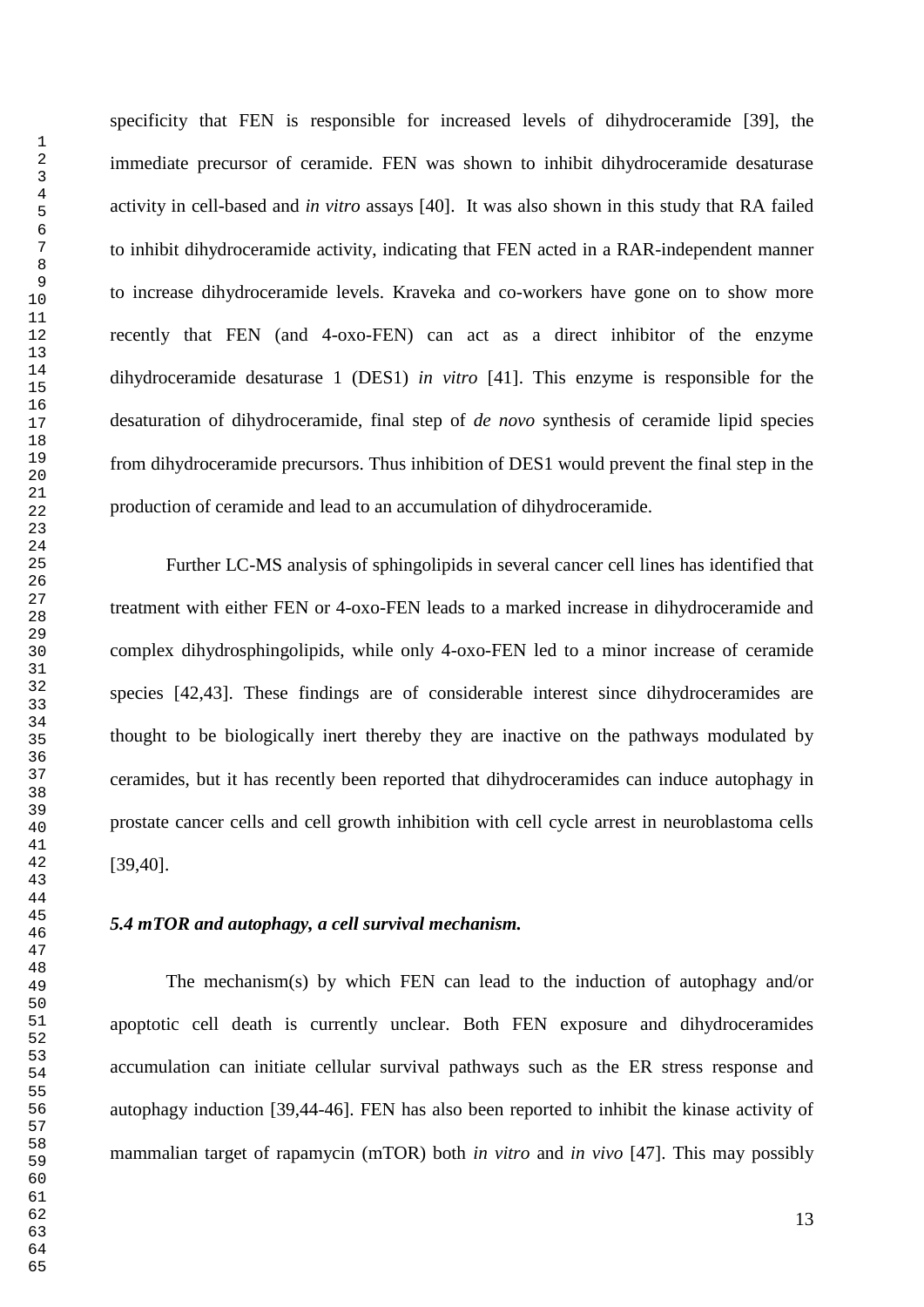specificity that FEN is responsible for increased levels of dihydroceramide [39], the immediate precursor of ceramide. FEN was shown to inhibit dihydroceramide desaturase activity in cell-based and *in vitro* assays [40]. It was also shown in this study that RA failed to inhibit dihydroceramide activity, indicating that FEN acted in a RAR-independent manner to increase dihydroceramide levels. Kraveka and co-workers have gone on to show more recently that FEN (and 4-oxo-FEN) can act as a direct inhibitor of the enzyme dihydroceramide desaturase 1 (DES1) *in vitro* [41]. This enzyme is responsible for the desaturation of dihydroceramide, final step of *de novo* synthesis of ceramide lipid species from dihydroceramide precursors. Thus inhibition of DES1 would prevent the final step in the production of ceramide and lead to an accumulation of dihydroceramide.

Further LC-MS analysis of sphingolipids in several cancer cell lines has identified that treatment with either FEN or 4-oxo-FEN leads to a marked increase in dihydroceramide and complex dihydrosphingolipids, while only 4-oxo-FEN led to a minor increase of ceramide species [42,43]. These findings are of considerable interest since dihydroceramides are thought to be biologically inert thereby they are inactive on the pathways modulated by ceramides, but it has recently been reported that dihydroceramides can induce autophagy in prostate cancer cells and cell growth inhibition with cell cycle arrest in neuroblastoma cells [39,40].

#### *5.4 mTOR and autophagy, a cell survival mechanism.*

The mechanism(s) by which FEN can lead to the induction of autophagy and/or apoptotic cell death is currently unclear. Both FEN exposure and dihydroceramides accumulation can initiate cellular survival pathways such as the ER stress response and autophagy induction [39,44-46]. FEN has also been reported to inhibit the kinase activity of mammalian target of rapamycin (mTOR) both *in vitro* and *in vivo* [47]. This may possibly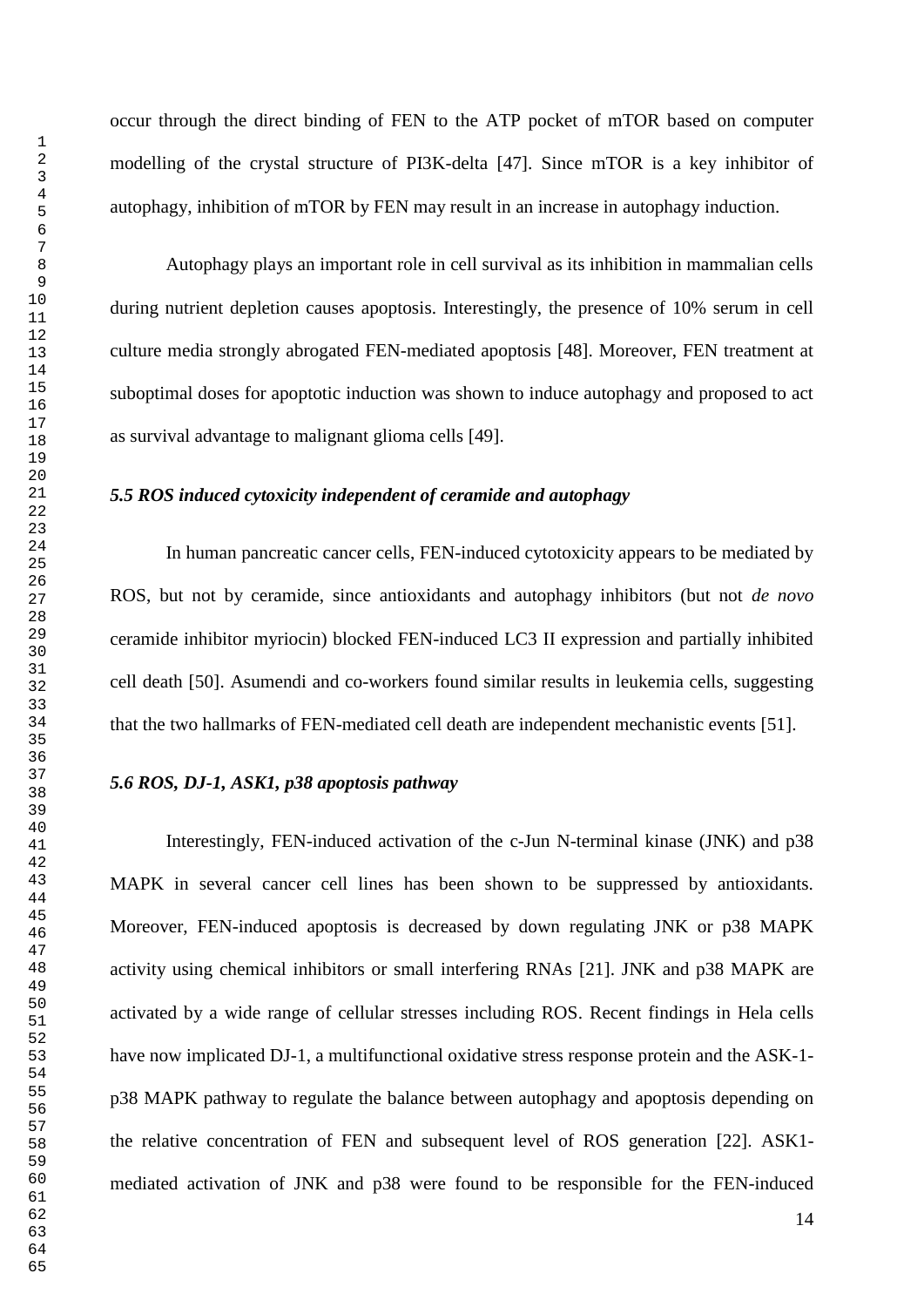occur through the direct binding of FEN to the ATP pocket of mTOR based on computer modelling of the crystal structure of PI3K-delta [47]. Since mTOR is a key inhibitor of autophagy, inhibition of mTOR by FEN may result in an increase in autophagy induction.

Autophagy plays an important role in cell survival as its inhibition in mammalian cells during nutrient depletion causes apoptosis. Interestingly, the presence of 10% serum in cell culture media strongly abrogated FEN-mediated apoptosis [48]. Moreover, FEN treatment at suboptimal doses for apoptotic induction was shown to induce autophagy and proposed to act as survival advantage to malignant glioma cells [49].

## *5.5 ROS induced cytoxicity independent of ceramide and autophagy*

In human pancreatic cancer cells, FEN-induced cytotoxicity appears to be mediated by ROS, but not by ceramide, since antioxidants and autophagy inhibitors (but not *de novo* ceramide inhibitor myriocin) blocked FEN-induced LC3 II expression and partially inhibited cell death [50]. Asumendi and co-workers found similar results in leukemia cells, suggesting that the two hallmarks of FEN-mediated cell death are independent mechanistic events [51].

#### *5.6 ROS, DJ-1, ASK1, p38 apoptosis pathway*

Interestingly, FEN-induced activation of the c-Jun N-terminal kinase (JNK) and p38 MAPK in several cancer cell lines has been shown to be suppressed by antioxidants. Moreover, FEN-induced apoptosis is decreased by down regulating JNK or p38 MAPK activity using chemical inhibitors or small interfering RNAs [21]. JNK and p38 MAPK are activated by a wide range of cellular stresses including ROS. Recent findings in Hela cells have now implicated DJ-1, a multifunctional oxidative stress response protein and the ASK-1 p38 MAPK pathway to regulate the balance between autophagy and apoptosis depending on the relative concentration of FEN and subsequent level of ROS generation [22]. ASK1 mediated activation of JNK and p38 were found to be responsible for the FEN-induced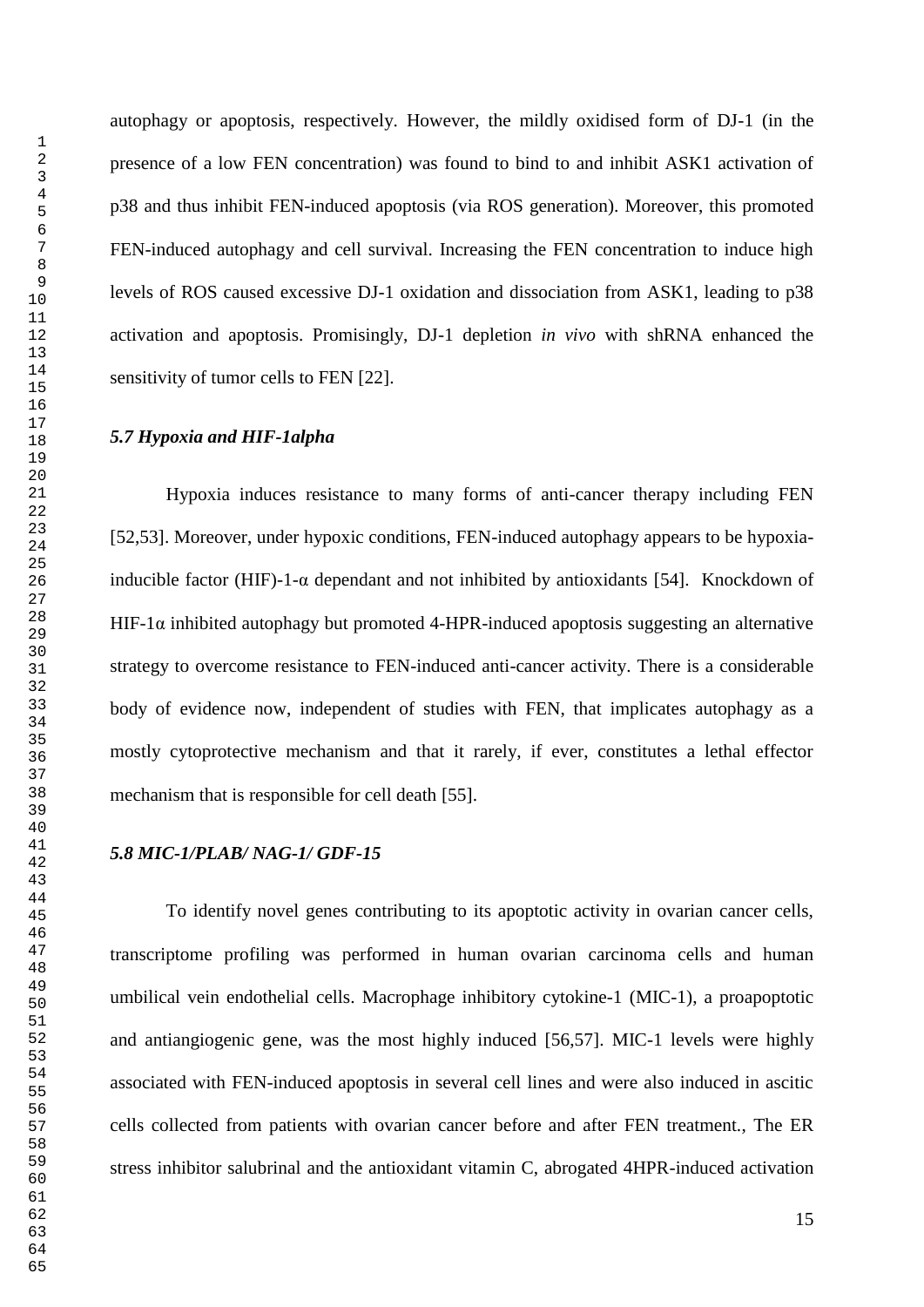autophagy or apoptosis, respectively. However, the mildly oxidised form of DJ-1 (in the presence of a low FEN concentration) was found to bind to and inhibit ASK1 activation of p38 and thus inhibit FEN-induced apoptosis (via ROS generation). Moreover, this promoted FEN-induced autophagy and cell survival. Increasing the FEN concentration to induce high levels of ROS caused excessive DJ-1 oxidation and dissociation from ASK1, leading to p38 activation and apoptosis. Promisingly, DJ-1 depletion *in vivo* with shRNA enhanced the sensitivity of tumor cells to FEN [22].

## *5.7 Hypoxia and HIF-1alpha*

Hypoxia induces resistance to many forms of anti-cancer therapy including FEN [52,53]. Moreover, under hypoxic conditions, FEN-induced autophagy appears to be hypoxiainducible factor (HIF)-1- $\alpha$  dependant and not inhibited by antioxidants [54]. Knockdown of HIF-1 $\alpha$  inhibited autophagy but promoted 4-HPR-induced apoptosis suggesting an alternative strategy to overcome resistance to FEN-induced anti-cancer activity. There is a considerable body of evidence now, independent of studies with FEN, that implicates autophagy as a mostly cytoprotective mechanism and that it rarely, if ever, constitutes a lethal effector mechanism that is responsible for cell death [55].

#### *5.8 MIC-1/PLAB/ NAG-1/ GDF-15*

To identify novel genes contributing to its apoptotic activity in ovarian cancer cells, transcriptome profiling was performed in human ovarian carcinoma cells and human umbilical vein endothelial cells. Macrophage inhibitory cytokine-1 (MIC-1), a proapoptotic and antiangiogenic gene, was the most highly induced [56,57]. MIC-1 levels were highly associated with FEN-induced apoptosis in several cell lines and were also induced in ascitic cells collected from patients with ovarian cancer before and after FEN treatment., The ER stress inhibitor salubrinal and the antioxidant vitamin C, abrogated 4HPR-induced activation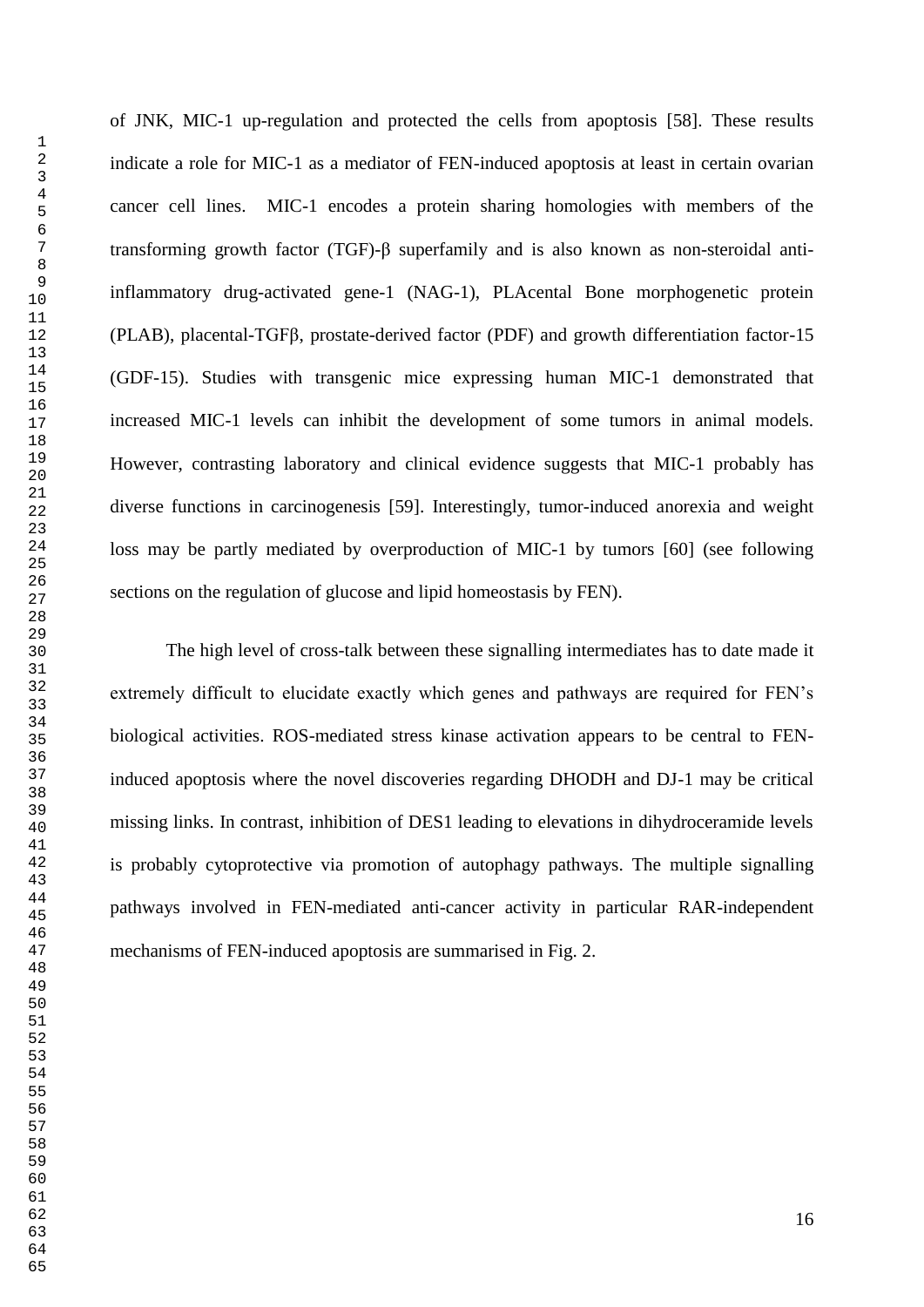of JNK, MIC-1 up-regulation and protected the cells from apoptosis [58]. These results indicate a role for MIC-1 as a mediator of FEN-induced apoptosis at least in certain ovarian cancer cell lines. MIC-1 encodes a protein sharing homologies with members of the transforming growth factor (TGF)-β superfamily and is also known as non-steroidal antiinflammatory drug-activated gene-1 (NAG-1), PLAcental Bone morphogenetic protein (PLAB), placental-TGFβ, prostate-derived factor (PDF) and growth differentiation factor-15 (GDF-15). Studies with transgenic mice expressing human MIC-1 demonstrated that increased MIC-1 levels can inhibit the development of some tumors in animal models. However, contrasting laboratory and clinical evidence suggests that MIC-1 probably has diverse functions in carcinogenesis [59]. Interestingly, tumor-induced anorexia and weight loss may be partly mediated by overproduction of MIC-1 by tumors [60] (see following sections on the regulation of glucose and lipid homeostasis by FEN).

The high level of cross-talk between these signalling intermediates has to date made it extremely difficult to elucidate exactly which genes and pathways are required for FEN"s biological activities. ROS-mediated stress kinase activation appears to be central to FENinduced apoptosis where the novel discoveries regarding DHODH and DJ-1 may be critical missing links. In contrast, inhibition of DES1 leading to elevations in dihydroceramide levels is probably cytoprotective via promotion of autophagy pathways. The multiple signalling pathways involved in FEN-mediated anti-cancer activity in particular RAR-independent mechanisms of FEN-induced apoptosis are summarised in Fig. 2.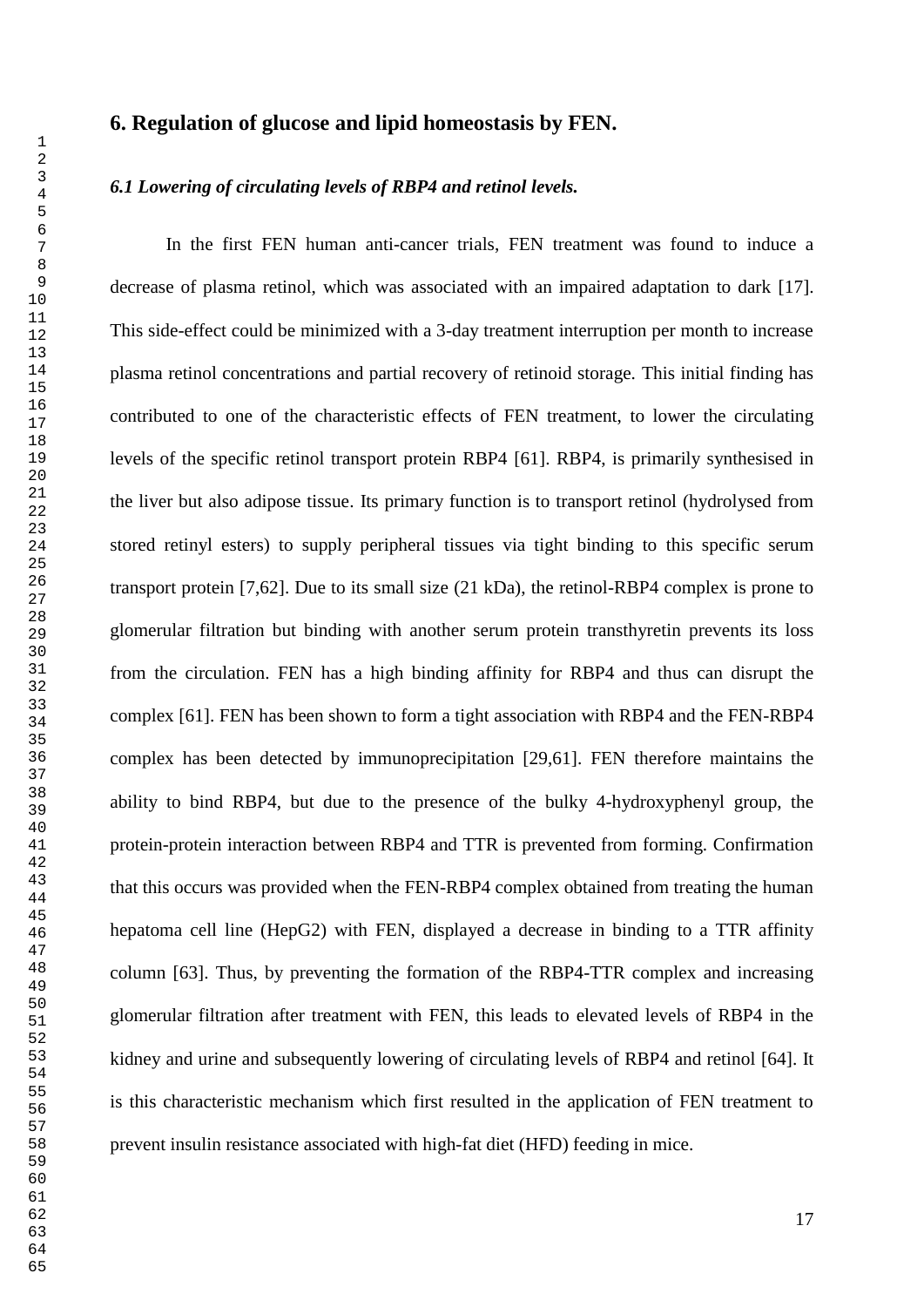## **6. Regulation of glucose and lipid homeostasis by FEN.**

#### *6.1 Lowering of circulating levels of RBP4 and retinol levels.*

In the first FEN human anti-cancer trials, FEN treatment was found to induce a decrease of plasma retinol, which was associated with an impaired adaptation to dark [17]. This side-effect could be minimized with a 3-day treatment interruption per month to increase plasma retinol concentrations and partial recovery of retinoid storage. This initial finding has contributed to one of the characteristic effects of FEN treatment, to lower the circulating levels of the specific retinol transport protein RBP4 [61]. RBP4, is primarily synthesised in the liver but also adipose tissue. Its primary function is to transport retinol (hydrolysed from stored retinyl esters) to supply peripheral tissues via tight binding to this specific serum transport protein [7,62]. Due to its small size (21 kDa), the retinol-RBP4 complex is prone to glomerular filtration but binding with another serum protein transthyretin prevents its loss from the circulation. FEN has a high binding affinity for RBP4 and thus can disrupt the complex [61]. FEN has been shown to form a tight association with RBP4 and the FEN-RBP4 complex has been detected by immunoprecipitation [29,61]. FEN therefore maintains the ability to bind RBP4, but due to the presence of the bulky 4-hydroxyphenyl group, the protein-protein interaction between RBP4 and TTR is prevented from forming. Confirmation that this occurs was provided when the FEN-RBP4 complex obtained from treating the human hepatoma cell line (HepG2) with FEN, displayed a decrease in binding to a TTR affinity column [63]. Thus, by preventing the formation of the RBP4-TTR complex and increasing glomerular filtration after treatment with FEN, this leads to elevated levels of RBP4 in the kidney and urine and subsequently lowering of circulating levels of RBP4 and retinol [64]. It is this characteristic mechanism which first resulted in the application of FEN treatment to prevent insulin resistance associated with high-fat diet (HFD) feeding in mice.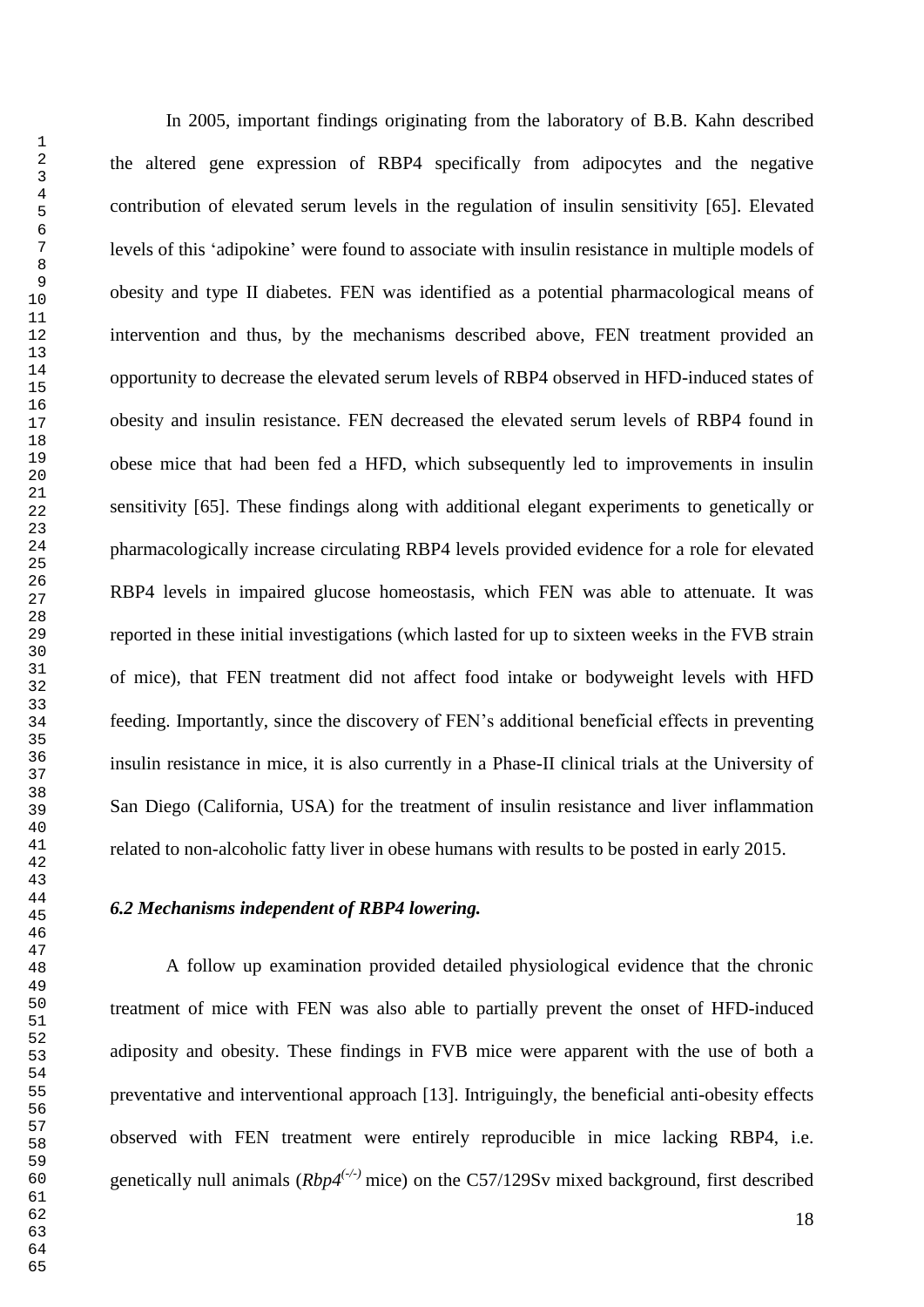In 2005, important findings originating from the laboratory of B.B. Kahn described the altered gene expression of RBP4 specifically from adipocytes and the negative contribution of elevated serum levels in the regulation of insulin sensitivity [65]. Elevated levels of this "adipokine" were found to associate with insulin resistance in multiple models of obesity and type II diabetes. FEN was identified as a potential pharmacological means of intervention and thus, by the mechanisms described above, FEN treatment provided an opportunity to decrease the elevated serum levels of RBP4 observed in HFD-induced states of obesity and insulin resistance. FEN decreased the elevated serum levels of RBP4 found in obese mice that had been fed a HFD, which subsequently led to improvements in insulin sensitivity [65]. These findings along with additional elegant experiments to genetically or pharmacologically increase circulating RBP4 levels provided evidence for a role for elevated RBP4 levels in impaired glucose homeostasis, which FEN was able to attenuate. It was reported in these initial investigations (which lasted for up to sixteen weeks in the FVB strain of mice), that FEN treatment did not affect food intake or bodyweight levels with HFD feeding. Importantly, since the discovery of FEN"s additional beneficial effects in preventing insulin resistance in mice, it is also currently in a Phase-II clinical trials at the University of San Diego (California, USA) for the treatment of insulin resistance and liver inflammation related to non-alcoholic fatty liver in obese humans with results to be posted in early 2015.

#### *6.2 Mechanisms independent of RBP4 lowering.*

A follow up examination provided detailed physiological evidence that the chronic treatment of mice with FEN was also able to partially prevent the onset of HFD-induced adiposity and obesity. These findings in FVB mice were apparent with the use of both a preventative and interventional approach [13]. Intriguingly, the beneficial anti-obesity effects observed with FEN treatment were entirely reproducible in mice lacking RBP4, i.e. genetically null animals (*Rbp4(-/-)* mice) on the C57/129Sv mixed background, first described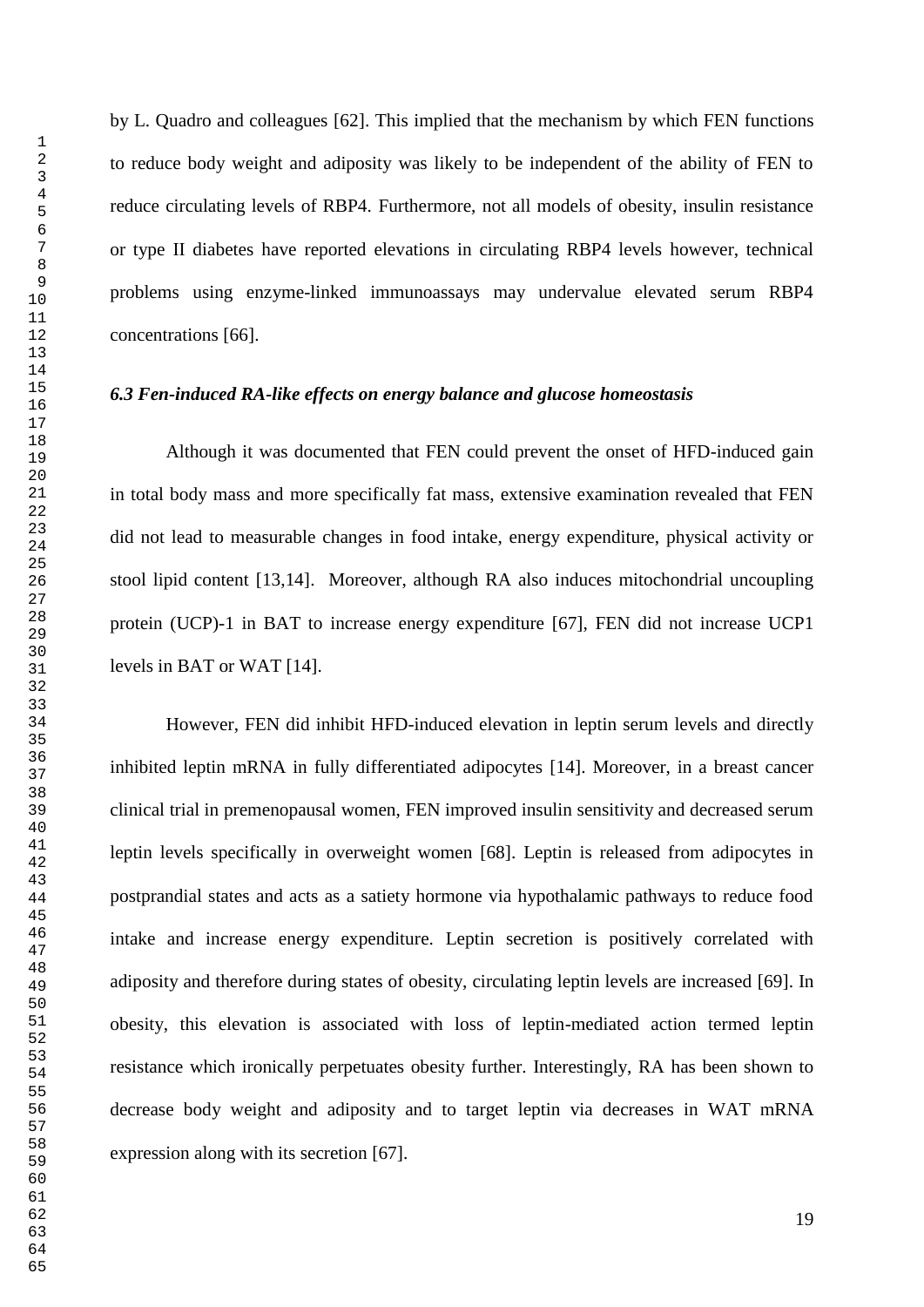by L. Quadro and colleagues [62]. This implied that the mechanism by which FEN functions to reduce body weight and adiposity was likely to be independent of the ability of FEN to reduce circulating levels of RBP4. Furthermore, not all models of obesity, insulin resistance or type II diabetes have reported elevations in circulating RBP4 levels however, technical problems using enzyme-linked immunoassays may undervalue elevated serum RBP4 concentrations [66].

#### *6.3 Fen-induced RA-like effects on energy balance and glucose homeostasis*

Although it was documented that FEN could prevent the onset of HFD-induced gain in total body mass and more specifically fat mass, extensive examination revealed that FEN did not lead to measurable changes in food intake, energy expenditure, physical activity or stool lipid content [13,14]. Moreover, although RA also induces mitochondrial uncoupling protein (UCP)-1 in BAT to increase energy expenditure [67], FEN did not increase UCP1 levels in BAT or WAT [14].

However, FEN did inhibit HFD-induced elevation in leptin serum levels and directly inhibited leptin mRNA in fully differentiated adipocytes [14]. Moreover, in a breast cancer clinical trial in premenopausal women, FEN improved insulin sensitivity and decreased serum leptin levels specifically in overweight women [68]. Leptin is released from adipocytes in postprandial states and acts as a satiety hormone via hypothalamic pathways to reduce food intake and increase energy expenditure. Leptin secretion is positively correlated with adiposity and therefore during states of obesity, circulating leptin levels are increased [69]. In obesity, this elevation is associated with loss of leptin-mediated action termed leptin resistance which ironically perpetuates obesity further. Interestingly, RA has been shown to decrease body weight and adiposity and to target leptin via decreases in WAT mRNA expression along with its secretion [67].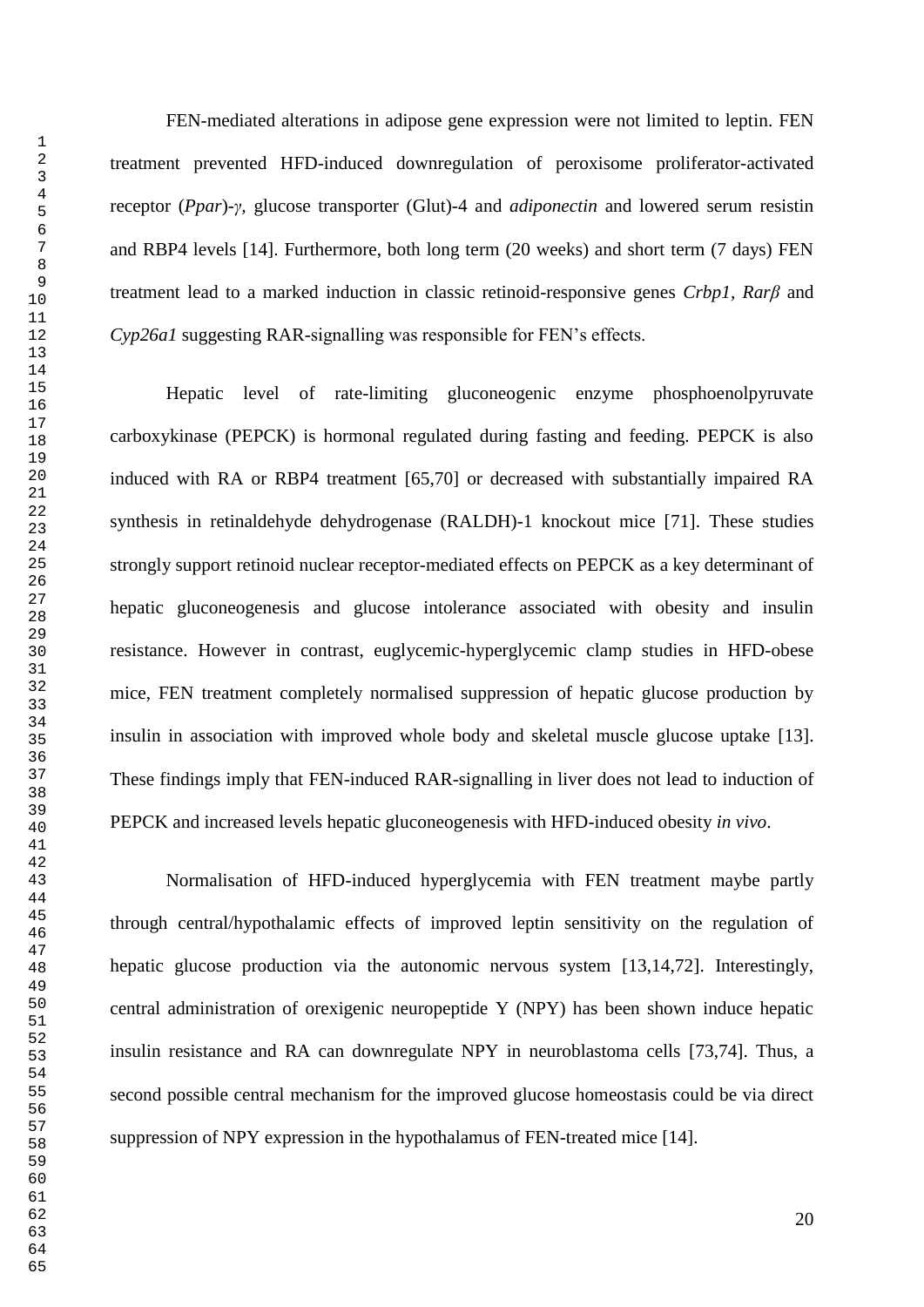FEN-mediated alterations in adipose gene expression were not limited to leptin. FEN treatment prevented HFD-induced downregulation of peroxisome proliferator-activated receptor (*Ppar*)*-γ,* glucose transporter (Glut)-4 and *adiponectin* and lowered serum resistin and RBP4 levels [14]. Furthermore, both long term (20 weeks) and short term (7 days) FEN treatment lead to a marked induction in classic retinoid-responsive genes *Crbp1, Rarβ* and *Cyp26a1* suggesting RAR-signalling was responsible for FEN's effects.

Hepatic level of rate-limiting gluconeogenic enzyme phosphoenolpyruvate carboxykinase (PEPCK) is hormonal regulated during fasting and feeding. PEPCK is also induced with RA or RBP4 treatment [65,70] or decreased with substantially impaired RA synthesis in retinaldehyde dehydrogenase (RALDH)-1 knockout mice [71]. These studies strongly support retinoid nuclear receptor-mediated effects on PEPCK as a key determinant of hepatic gluconeogenesis and glucose intolerance associated with obesity and insulin resistance. However in contrast, euglycemic-hyperglycemic clamp studies in HFD-obese mice, FEN treatment completely normalised suppression of hepatic glucose production by insulin in association with improved whole body and skeletal muscle glucose uptake [13]. These findings imply that FEN-induced RAR-signalling in liver does not lead to induction of PEPCK and increased levels hepatic gluconeogenesis with HFD-induced obesity *in vivo*.

Normalisation of HFD-induced hyperglycemia with FEN treatment maybe partly through central/hypothalamic effects of improved leptin sensitivity on the regulation of hepatic glucose production via the autonomic nervous system [13,14,72]. Interestingly, central administration of orexigenic neuropeptide Y (NPY) has been shown induce hepatic insulin resistance and RA can downregulate NPY in neuroblastoma cells [73,74]. Thus, a second possible central mechanism for the improved glucose homeostasis could be via direct suppression of NPY expression in the hypothalamus of FEN-treated mice [14].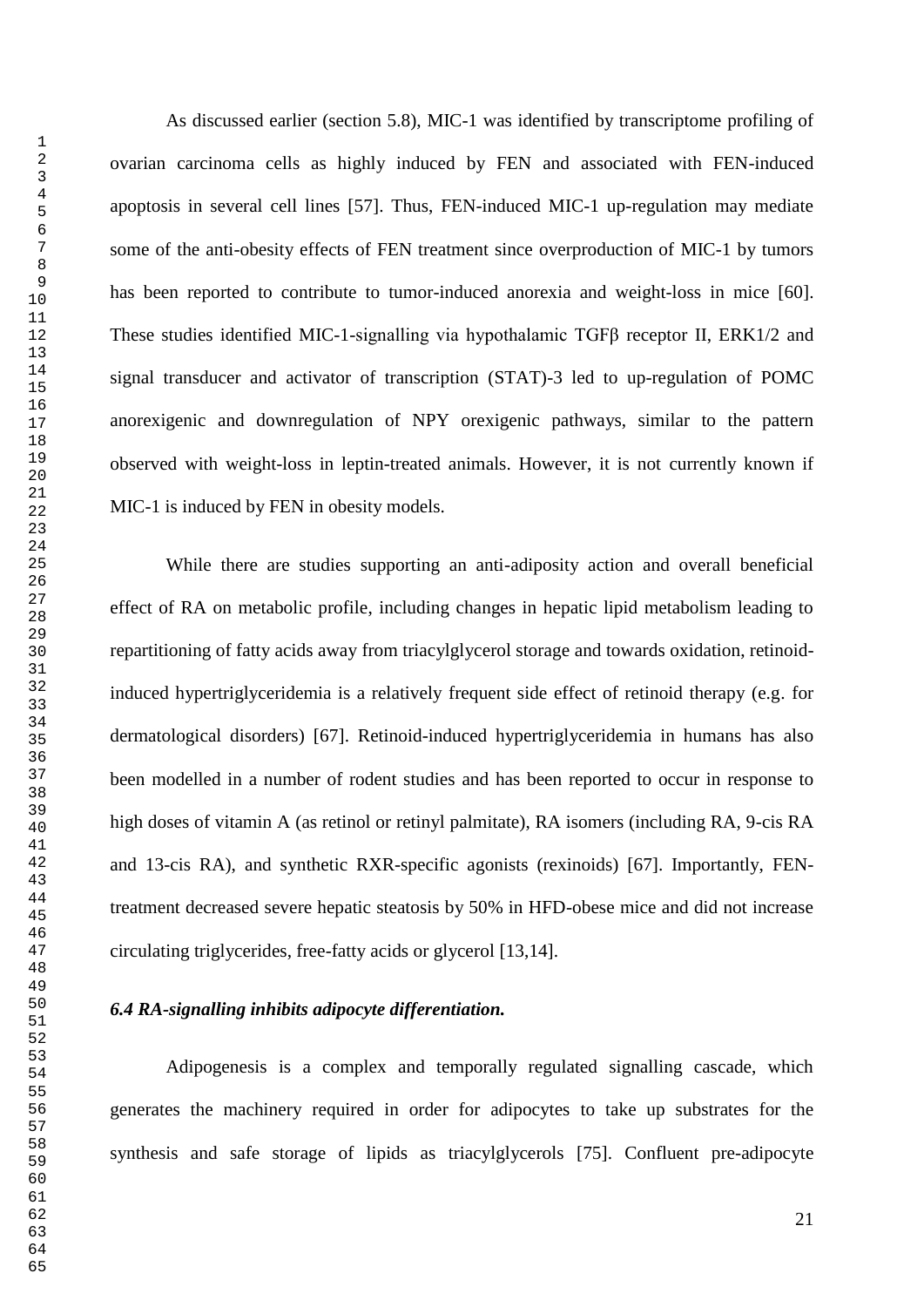As discussed earlier (section 5.8), MIC-1 was identified by transcriptome profiling of ovarian carcinoma cells as highly induced by FEN and associated with FEN-induced apoptosis in several cell lines [57]. Thus, FEN-induced MIC-1 up-regulation may mediate some of the anti-obesity effects of FEN treatment since overproduction of MIC-1 by tumors has been reported to contribute to tumor-induced anorexia and weight-loss in mice [60]. These studies identified MIC-1-signalling via hypothalamic TGFβ receptor II, ERK1/2 and signal transducer and activator of transcription (STAT)-3 led to up-regulation of POMC anorexigenic and downregulation of NPY orexigenic pathways, similar to the pattern observed with weight-loss in leptin-treated animals. However, it is not currently known if MIC-1 is induced by FEN in obesity models.

While there are studies supporting an anti-adiposity action and overall beneficial effect of RA on metabolic profile, including changes in hepatic lipid metabolism leading to repartitioning of fatty acids away from triacylglycerol storage and towards oxidation, retinoidinduced hypertriglyceridemia is a relatively frequent side effect of retinoid therapy (e.g. for dermatological disorders) [67]. Retinoid-induced hypertriglyceridemia in humans has also been modelled in a number of rodent studies and has been reported to occur in response to high doses of vitamin A (as retinol or retinyl palmitate), RA isomers (including RA, 9-cis RA and 13-cis RA), and synthetic RXR-specific agonists (rexinoids) [67]. Importantly, FENtreatment decreased severe hepatic steatosis by 50% in HFD-obese mice and did not increase circulating triglycerides, free-fatty acids or glycerol [13,14].

#### *6.4 RA-signalling inhibits adipocyte differentiation.*

Adipogenesis is a complex and temporally regulated signalling cascade, which generates the machinery required in order for adipocytes to take up substrates for the synthesis and safe storage of lipids as triacylglycerols [75]. Confluent pre-adipocyte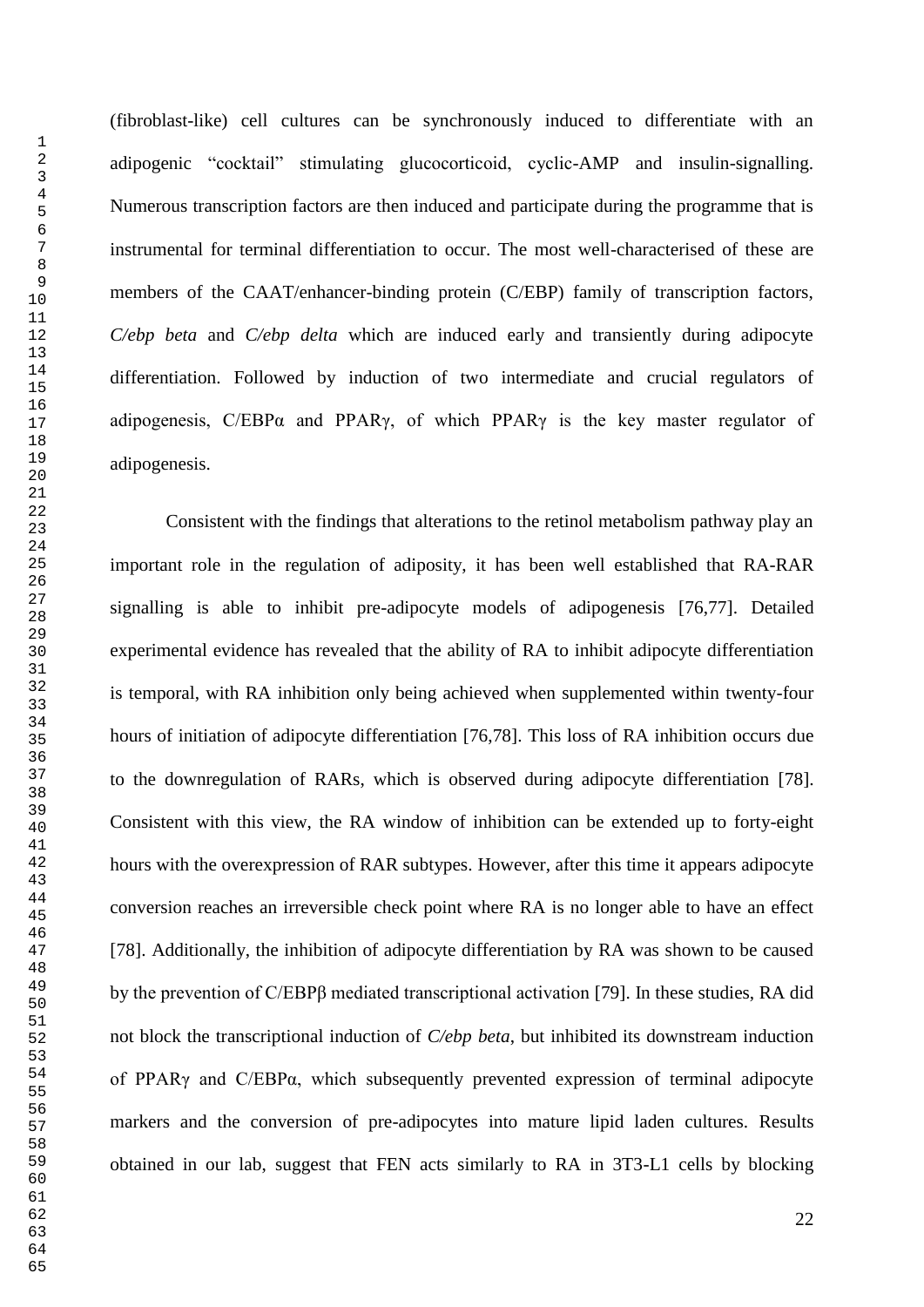(fibroblast-like) cell cultures can be synchronously induced to differentiate with an adipogenic "cocktail" stimulating glucocorticoid, cyclic-AMP and insulin-signalling. Numerous transcription factors are then induced and participate during the programme that is instrumental for terminal differentiation to occur. The most well-characterised of these are members of the CAAT/enhancer-binding protein (C/EBP) family of transcription factors, *C/ebp beta* and *C/ebp delta* which are induced early and transiently during adipocyte differentiation. Followed by induction of two intermediate and crucial regulators of adipogenesis, C/EBPα and PPARγ, of which PPARγ is the key master regulator of adipogenesis.

Consistent with the findings that alterations to the retinol metabolism pathway play an important role in the regulation of adiposity, it has been well established that RA-RAR signalling is able to inhibit pre-adipocyte models of adipogenesis [76,77]. Detailed experimental evidence has revealed that the ability of RA to inhibit adipocyte differentiation is temporal, with RA inhibition only being achieved when supplemented within twenty-four hours of initiation of adipocyte differentiation [76,78]. This loss of RA inhibition occurs due to the downregulation of RARs, which is observed during adipocyte differentiation [78]. Consistent with this view, the RA window of inhibition can be extended up to forty-eight hours with the overexpression of RAR subtypes. However, after this time it appears adipocyte conversion reaches an irreversible check point where RA is no longer able to have an effect [78]. Additionally, the inhibition of adipocyte differentiation by RA was shown to be caused by the prevention of C/EBPβ mediated transcriptional activation [79]. In these studies, RA did not block the transcriptional induction of *C/ebp beta*, but inhibited its downstream induction of PPARγ and C/EBPα, which subsequently prevented expression of terminal adipocyte markers and the conversion of pre-adipocytes into mature lipid laden cultures. Results obtained in our lab, suggest that FEN acts similarly to RA in 3T3-L1 cells by blocking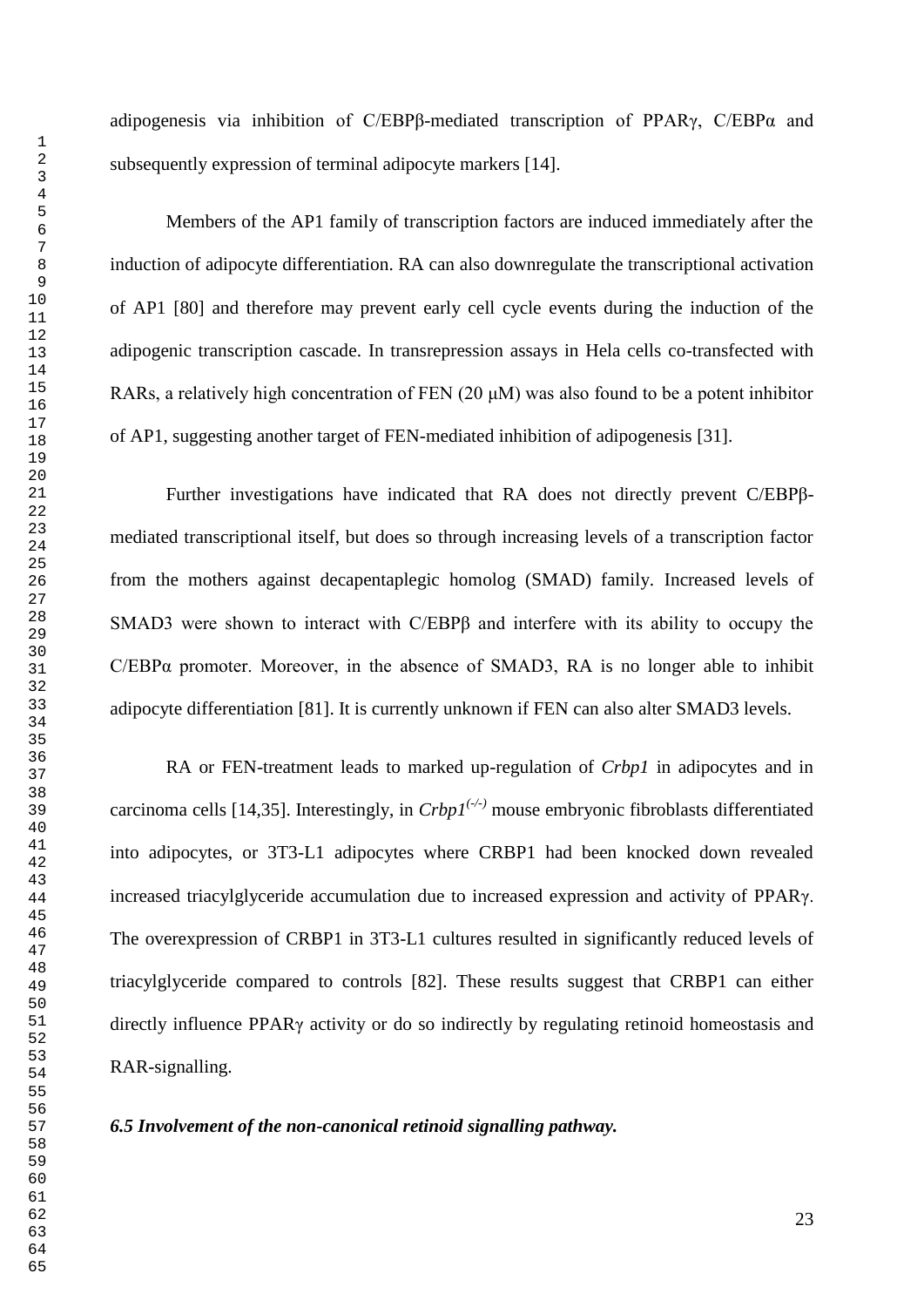adipogenesis via inhibition of C/EBPβ-mediated transcription of PPAR $\gamma$ , C/EBP $\alpha$  and subsequently expression of terminal adipocyte markers [14].

Members of the AP1 family of transcription factors are induced immediately after the induction of adipocyte differentiation. RA can also downregulate the transcriptional activation of AP1 [80] and therefore may prevent early cell cycle events during the induction of the adipogenic transcription cascade. In transrepression assays in Hela cells co-transfected with RARs, a relatively high concentration of FEN  $(20 \mu M)$  was also found to be a potent inhibitor of AP1, suggesting another target of FEN-mediated inhibition of adipogenesis [31].

Further investigations have indicated that RA does not directly prevent C/EBPβmediated transcriptional itself, but does so through increasing levels of a transcription factor from the mothers against decapentaplegic homolog (SMAD) family. Increased levels of SMAD3 were shown to interact with C/EBPβ and interfere with its ability to occupy the C/EBPα promoter. Moreover, in the absence of SMAD3, RA is no longer able to inhibit adipocyte differentiation [81]. It is currently unknown if FEN can also alter SMAD3 levels.

RA or FEN-treatment leads to marked up-regulation of *Crbp1* in adipocytes and in carcinoma cells [14,35]. Interestingly, in  $Crbpl^{(-)}$  mouse embryonic fibroblasts differentiated into adipocytes, or 3T3-L1 adipocytes where CRBP1 had been knocked down revealed increased triacylglyceride accumulation due to increased expression and activity of PPARγ. The overexpression of CRBP1 in 3T3-L1 cultures resulted in significantly reduced levels of triacylglyceride compared to controls [82]. These results suggest that CRBP1 can either directly influence PPARγ activity or do so indirectly by regulating retinoid homeostasis and RAR-signalling.

#### *6.5 Involvement of the non-canonical retinoid signalling pathway.*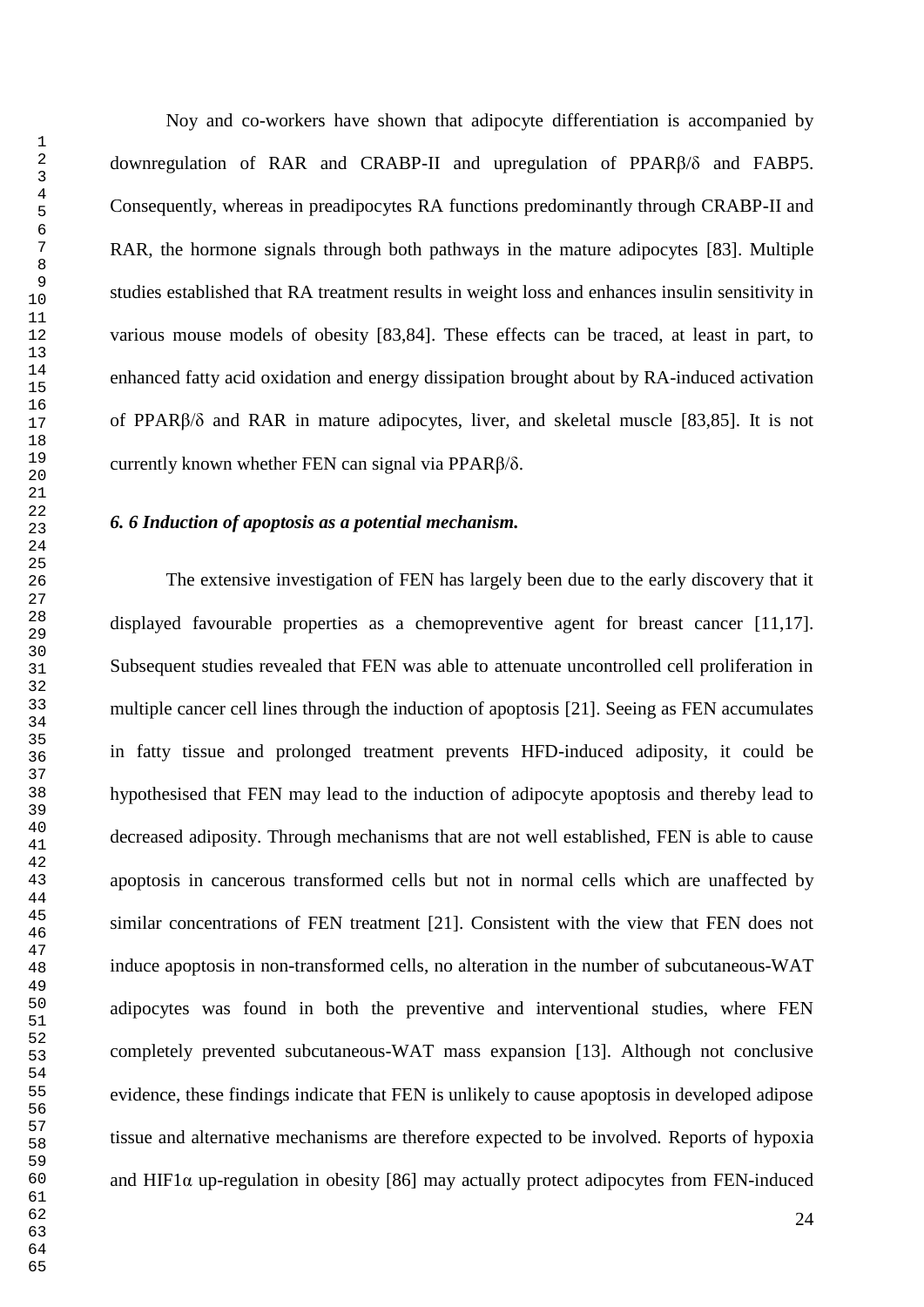Noy and co-workers have shown that adipocyte differentiation is accompanied by downregulation of RAR and CRABP-II and upregulation of PPARβ/δ and FABP5. Consequently, whereas in preadipocytes RA functions predominantly through CRABP-II and RAR, the hormone signals through both pathways in the mature adipocytes [83]. Multiple studies established that RA treatment results in weight loss and enhances insulin sensitivity in various mouse models of obesity [83,84]. These effects can be traced, at least in part, to enhanced fatty acid oxidation and energy dissipation brought about by RA-induced activation of PPARβ/δ and RAR in mature adipocytes, liver, and skeletal muscle [83,85]. It is not currently known whether FEN can signal via PPARβ/δ.

#### *6. 6 Induction of apoptosis as a potential mechanism.*

The extensive investigation of FEN has largely been due to the early discovery that it displayed favourable properties as a chemopreventive agent for breast cancer [11,17]. Subsequent studies revealed that FEN was able to attenuate uncontrolled cell proliferation in multiple cancer cell lines through the induction of apoptosis [21]. Seeing as FEN accumulates in fatty tissue and prolonged treatment prevents HFD-induced adiposity, it could be hypothesised that FEN may lead to the induction of adipocyte apoptosis and thereby lead to decreased adiposity. Through mechanisms that are not well established, FEN is able to cause apoptosis in cancerous transformed cells but not in normal cells which are unaffected by similar concentrations of FEN treatment [21]. Consistent with the view that FEN does not induce apoptosis in non-transformed cells, no alteration in the number of subcutaneous-WAT adipocytes was found in both the preventive and interventional studies, where FEN completely prevented subcutaneous-WAT mass expansion [13]. Although not conclusive evidence, these findings indicate that FEN is unlikely to cause apoptosis in developed adipose tissue and alternative mechanisms are therefore expected to be involved. Reports of hypoxia and HIF1 $\alpha$  up-regulation in obesity [86] may actually protect adipocytes from FEN-induced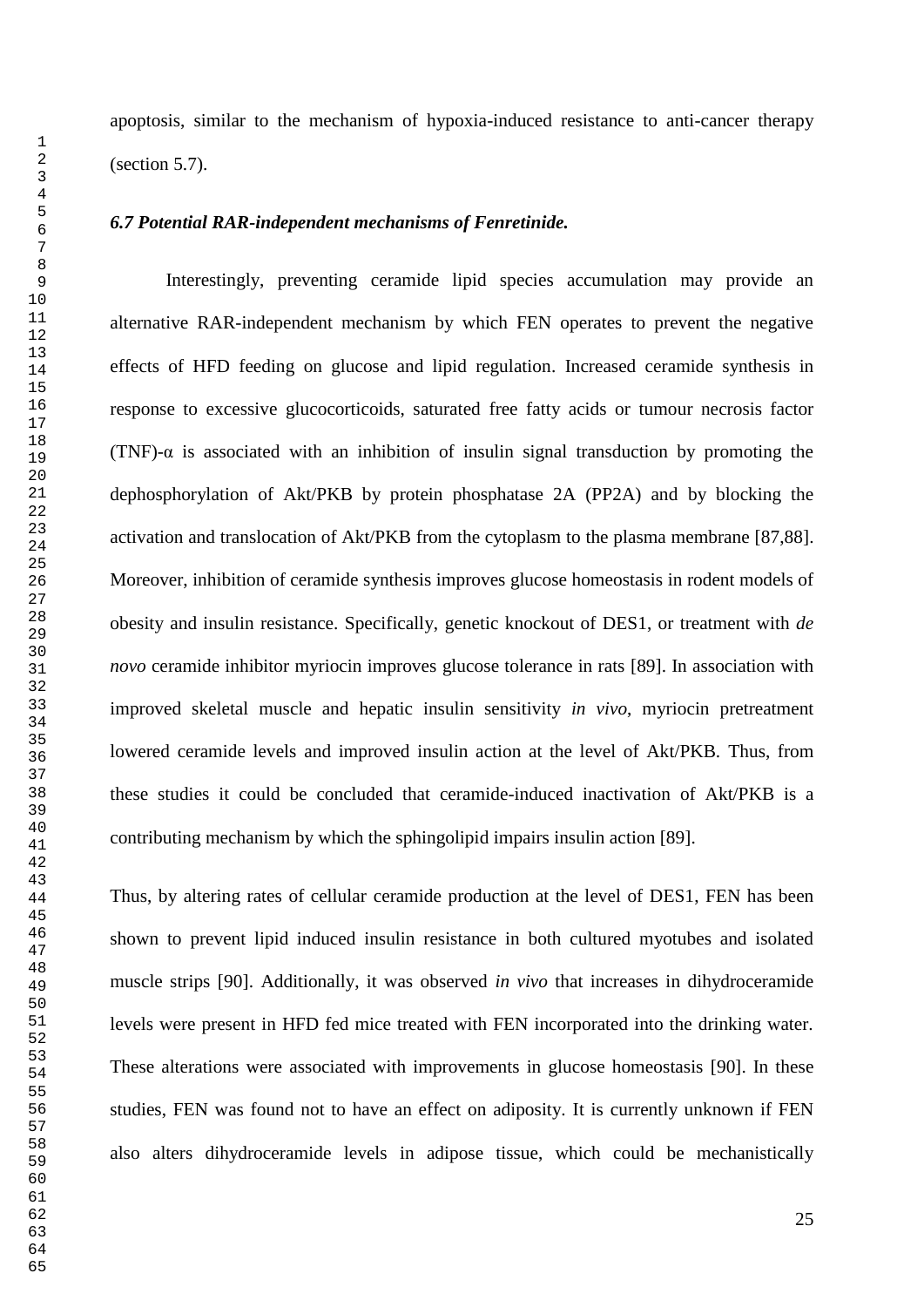apoptosis, similar to the mechanism of hypoxia-induced resistance to anti-cancer therapy (section 5.7).

#### *6.7 Potential RAR-independent mechanisms of Fenretinide.*

Interestingly, preventing ceramide lipid species accumulation may provide an alternative RAR-independent mechanism by which FEN operates to prevent the negative effects of HFD feeding on glucose and lipid regulation. Increased ceramide synthesis in response to excessive glucocorticoids, saturated free fatty acids or tumour necrosis factor (TNF)- $\alpha$  is associated with an inhibition of insulin signal transduction by promoting the dephosphorylation of Akt/PKB by protein phosphatase 2A (PP2A) and by blocking the activation and translocation of Akt/PKB from the cytoplasm to the plasma membrane [87,88]. Moreover, inhibition of ceramide synthesis improves glucose homeostasis in rodent models of obesity and insulin resistance. Specifically, genetic knockout of DES1, or treatment with *de novo* ceramide inhibitor myriocin improves glucose tolerance in rats [89]. In association with improved skeletal muscle and hepatic insulin sensitivity *in vivo*, myriocin pretreatment lowered ceramide levels and improved insulin action at the level of Akt/PKB. Thus, from these studies it could be concluded that ceramide-induced inactivation of Akt/PKB is a contributing mechanism by which the sphingolipid impairs insulin action [89].

Thus, by altering rates of cellular ceramide production at the level of DES1, FEN has been shown to prevent lipid induced insulin resistance in both cultured myotubes and isolated muscle strips [90]. Additionally, it was observed *in vivo* that increases in dihydroceramide levels were present in HFD fed mice treated with FEN incorporated into the drinking water. These alterations were associated with improvements in glucose homeostasis [90]. In these studies, FEN was found not to have an effect on adiposity. It is currently unknown if FEN also alters dihydroceramide levels in adipose tissue, which could be mechanistically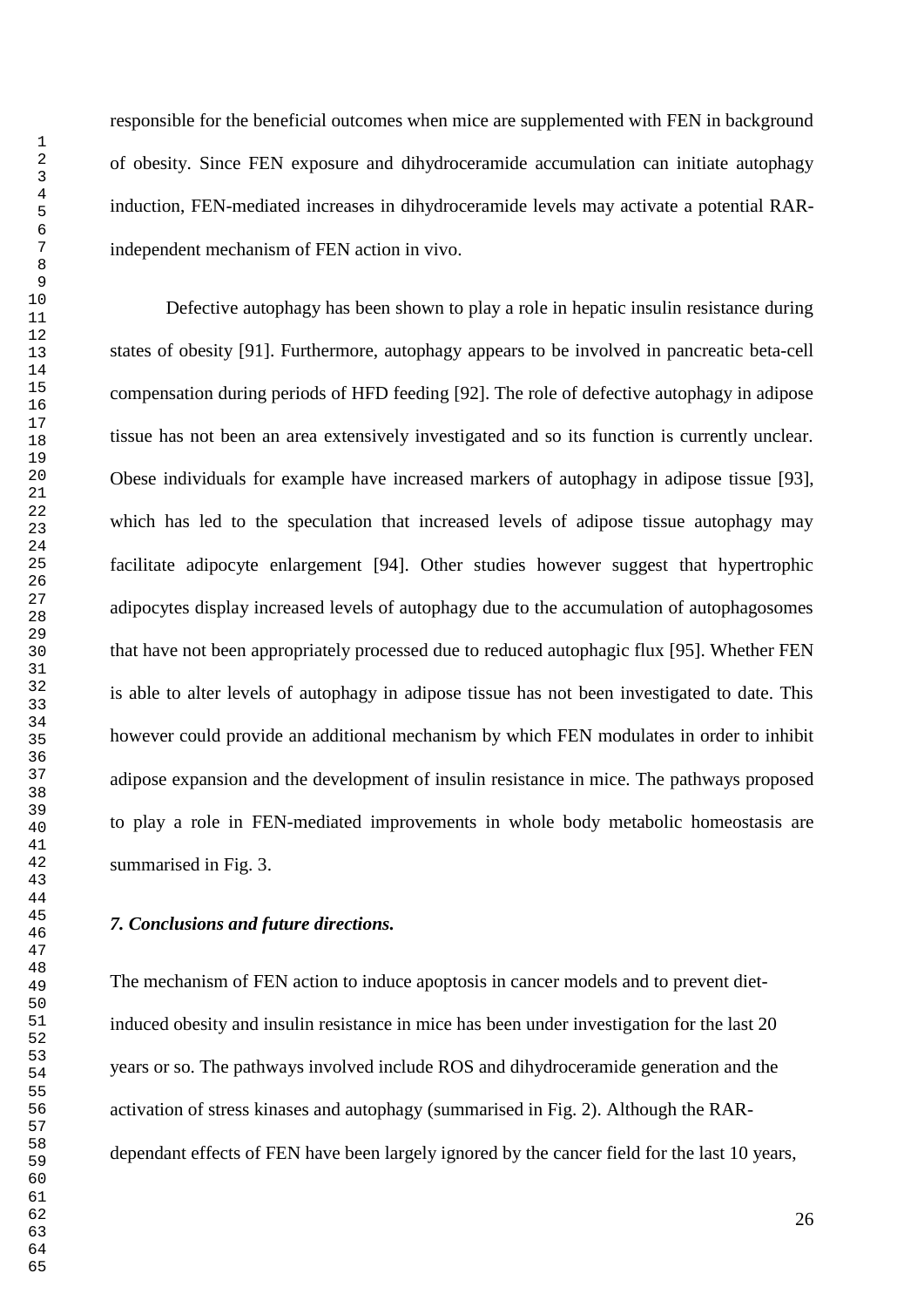responsible for the beneficial outcomes when mice are supplemented with FEN in background of obesity. Since FEN exposure and dihydroceramide accumulation can initiate autophagy induction, FEN-mediated increases in dihydroceramide levels may activate a potential RARindependent mechanism of FEN action in vivo.

Defective autophagy has been shown to play a role in hepatic insulin resistance during states of obesity [91]. Furthermore, autophagy appears to be involved in pancreatic beta-cell compensation during periods of HFD feeding [92]. The role of defective autophagy in adipose tissue has not been an area extensively investigated and so its function is currently unclear. Obese individuals for example have increased markers of autophagy in adipose tissue [93], which has led to the speculation that increased levels of adipose tissue autophagy may facilitate adipocyte enlargement [94]. Other studies however suggest that hypertrophic adipocytes display increased levels of autophagy due to the accumulation of autophagosomes that have not been appropriately processed due to reduced autophagic flux [95]. Whether FEN is able to alter levels of autophagy in adipose tissue has not been investigated to date. This however could provide an additional mechanism by which FEN modulates in order to inhibit adipose expansion and the development of insulin resistance in mice. The pathways proposed to play a role in FEN-mediated improvements in whole body metabolic homeostasis are summarised in Fig. 3.

#### *7. Conclusions and future directions.*

The mechanism of FEN action to induce apoptosis in cancer models and to prevent dietinduced obesity and insulin resistance in mice has been under investigation for the last 20 years or so. The pathways involved include ROS and dihydroceramide generation and the activation of stress kinases and autophagy (summarised in Fig. 2). Although the RARdependant effects of FEN have been largely ignored by the cancer field for the last 10 years,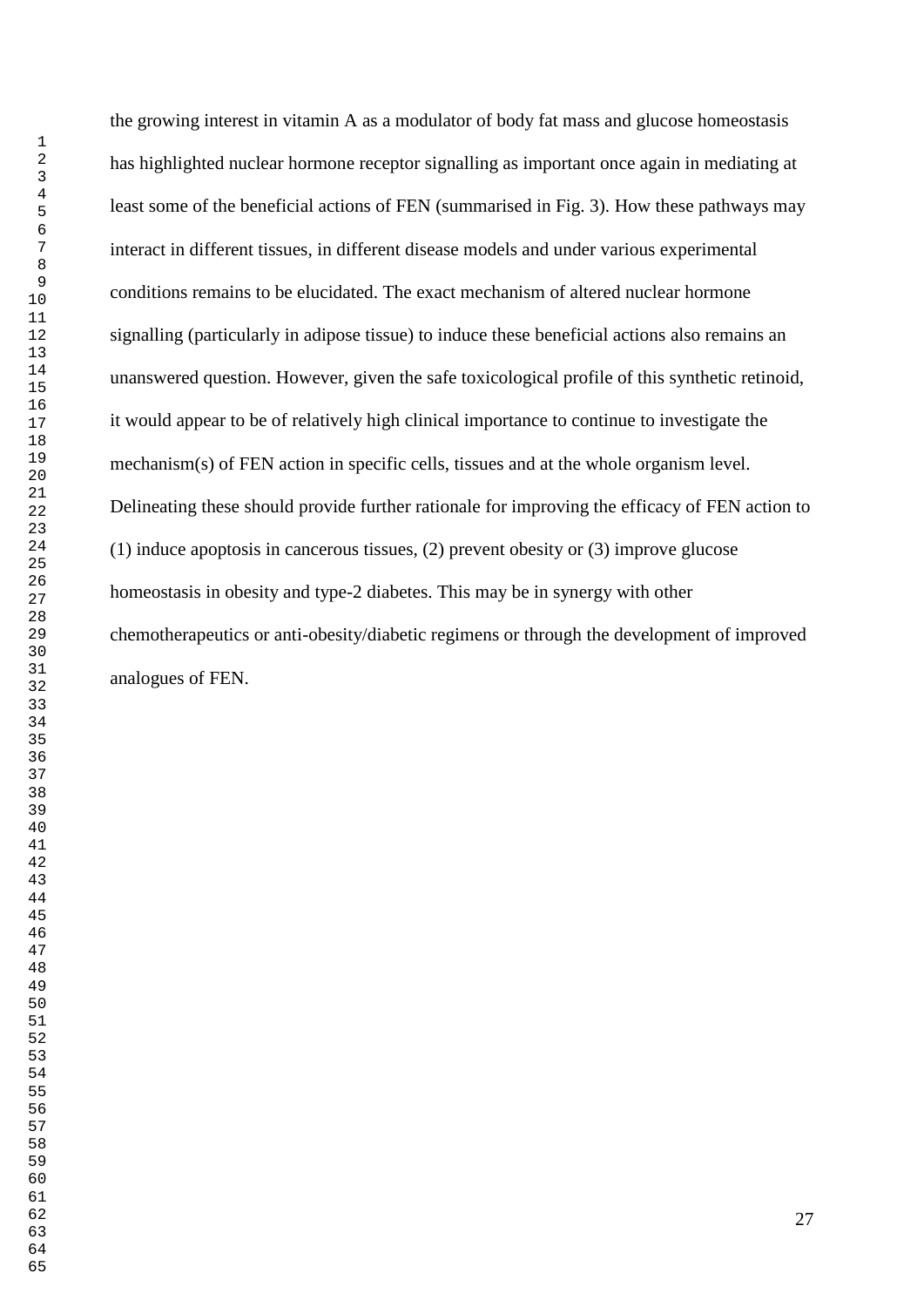the growing interest in vitamin A as a modulator of body fat mass and glucose homeostasis has highlighted nuclear hormone receptor signalling as important once again in mediating at least some of the beneficial actions of FEN (summarised in Fig. 3). How these pathways may interact in different tissues, in different disease models and under various experimental conditions remains to be elucidated. The exact mechanism of altered nuclear hormone signalling (particularly in adipose tissue) to induce these beneficial actions also remains an unanswered question. However, given the safe toxicological profile of this synthetic retinoid, it would appear to be of relatively high clinical importance to continue to investigate the mechanism(s) of FEN action in specific cells, tissues and at the whole organism level. Delineating these should provide further rationale for improving the efficacy of FEN action to (1) induce apoptosis in cancerous tissues, (2) prevent obesity or (3) improve glucose homeostasis in obesity and type-2 diabetes. This may be in synergy with other chemotherapeutics or anti-obesity/diabetic regimens or through the development of improved analogues of FEN.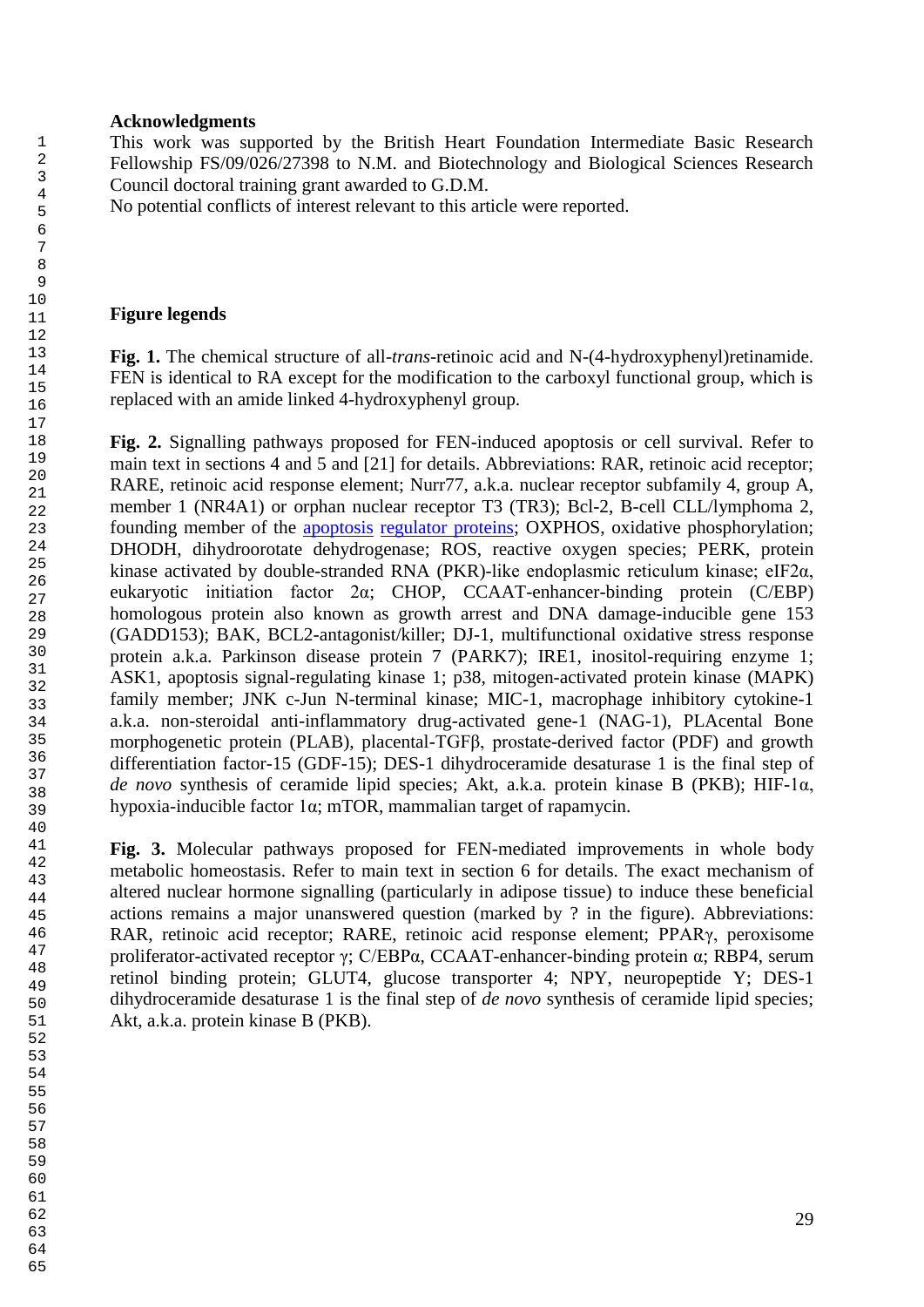#### **Acknowledgments**

This work was supported by the British Heart Foundation Intermediate Basic Research Fellowship FS/09/026/27398 to N.M. and Biotechnology and Biological Sciences Research Council doctoral training grant awarded to G.D.M.

No potential conflicts of interest relevant to this article were reported.

#### **Figure legends**

**Fig. 1.** The chemical structure of all-*trans*-retinoic acid and N-(4-hydroxyphenyl)retinamide. FEN is identical to RA except for the modification to the carboxyl functional group, which is replaced with an amide linked 4-hydroxyphenyl group.

**Fig. 2.** Signalling pathways proposed for FEN-induced apoptosis or cell survival. Refer to main text in sections 4 and 5 and [21] for details. Abbreviations: RAR, retinoic acid receptor; RARE, retinoic acid response element; Nurr77, a.k.a. nuclear receptor subfamily 4, group A, member 1 (NR4A1) or orphan nuclear receptor T3 (TR3); Bcl-2, B-cell CLL/lymphoma 2, founding member of the [apoptosis](http://en.wikipedia.org/wiki/Apoptosis) [regulator proteins;](http://en.wikipedia.org/wiki/Regulator_protein) OXPHOS, oxidative phosphorylation; DHODH, dihydroorotate dehydrogenase; ROS, reactive oxygen species; PERK, protein kinase activated by double-stranded RNA (PKR)-like endoplasmic reticulum kinase; eIF2α, eukaryotic initiation factor 2α; CHOP, CCAAT-enhancer-binding protein (C/EBP) homologous protein also known as growth arrest and DNA damage-inducible gene 153 (GADD153); BAK, BCL2-antagonist/killer; DJ-1, multifunctional oxidative stress response protein a.k.a. Parkinson disease protein 7 (PARK7); IRE1, inositol-requiring enzyme 1; ASK1, apoptosis signal-regulating kinase 1; p38, mitogen-activated protein kinase (MAPK) family member; JNK c-Jun N-terminal kinase; MIC-1, macrophage inhibitory cytokine-1 a.k.a. non-steroidal anti-inflammatory drug-activated gene-1 (NAG-1), PLAcental Bone morphogenetic protein (PLAB), placental-TGFβ, prostate-derived factor (PDF) and growth differentiation factor-15 (GDF-15); DES-1 dihydroceramide desaturase 1 is the final step of *de novo* synthesis of ceramide lipid species; Akt, a.k.a. protein kinase B (PKB); HIF-1α, hypoxia-inducible factor 1α; mTOR, mammalian target of rapamycin.

**Fig. 3.** Molecular pathways proposed for FEN-mediated improvements in whole body metabolic homeostasis. Refer to main text in section 6 for details. The exact mechanism of altered nuclear hormone signalling (particularly in adipose tissue) to induce these beneficial actions remains a major unanswered question (marked by ? in the figure). Abbreviations: RAR, retinoic acid receptor; RARE, retinoic acid response element; PPARγ, peroxisome proliferator-activated receptor γ; C/EBPα, CCAAT-enhancer-binding protein α; RBP4, serum retinol binding protein; GLUT4, glucose transporter 4; NPY, neuropeptide Y; DES-1 dihydroceramide desaturase 1 is the final step of *de novo* synthesis of ceramide lipid species; Akt, a.k.a. protein kinase B (PKB).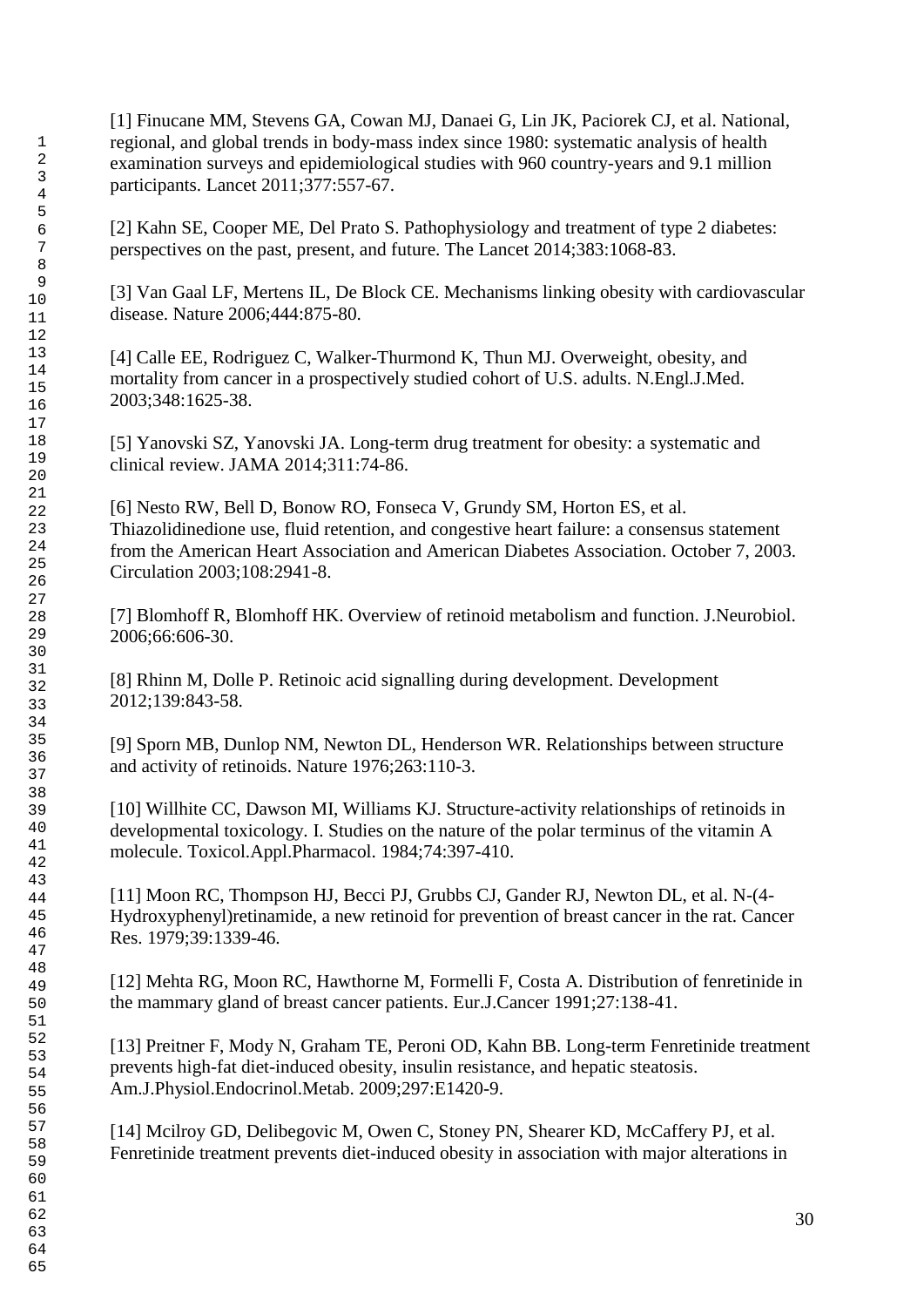[1] Finucane MM, Stevens GA, Cowan MJ, Danaei G, Lin JK, Paciorek CJ, et al. National, regional, and global trends in body-mass index since 1980: systematic analysis of health examination surveys and epidemiological studies with 960 country-years and 9.1 million participants. Lancet 2011;377:557-67.

[2] Kahn SE, Cooper ME, Del Prato S. Pathophysiology and treatment of type 2 diabetes: perspectives on the past, present, and future. The Lancet 2014;383:1068-83.

[3] Van Gaal LF, Mertens IL, De Block CE. Mechanisms linking obesity with cardiovascular disease. Nature 2006;444:875-80.

[4] Calle EE, Rodriguez C, Walker-Thurmond K, Thun MJ. Overweight, obesity, and mortality from cancer in a prospectively studied cohort of U.S. adults. N.Engl.J.Med. 2003;348:1625-38.

[5] Yanovski SZ, Yanovski JA. Long-term drug treatment for obesity: a systematic and clinical review. JAMA 2014;311:74-86.

[6] Nesto RW, Bell D, Bonow RO, Fonseca V, Grundy SM, Horton ES, et al. Thiazolidinedione use, fluid retention, and congestive heart failure: a consensus statement from the American Heart Association and American Diabetes Association. October 7, 2003. Circulation 2003;108:2941-8.

[7] Blomhoff R, Blomhoff HK. Overview of retinoid metabolism and function. J.Neurobiol. 2006;66:606-30.

[8] Rhinn M, Dolle P. Retinoic acid signalling during development. Development 2012;139:843-58.

[9] Sporn MB, Dunlop NM, Newton DL, Henderson WR. Relationships between structure and activity of retinoids. Nature 1976;263:110-3.

[10] Willhite CC, Dawson MI, Williams KJ. Structure-activity relationships of retinoids in developmental toxicology. I. Studies on the nature of the polar terminus of the vitamin A molecule. Toxicol.Appl.Pharmacol. 1984;74:397-410.

[11] Moon RC, Thompson HJ, Becci PJ, Grubbs CJ, Gander RJ, Newton DL, et al. N-(4- Hydroxyphenyl)retinamide, a new retinoid for prevention of breast cancer in the rat. Cancer Res. 1979;39:1339-46.

[12] Mehta RG, Moon RC, Hawthorne M, Formelli F, Costa A. Distribution of fenretinide in the mammary gland of breast cancer patients. Eur.J.Cancer 1991;27:138-41.

[13] Preitner F, Mody N, Graham TE, Peroni OD, Kahn BB. Long-term Fenretinide treatment prevents high-fat diet-induced obesity, insulin resistance, and hepatic steatosis. Am.J.Physiol.Endocrinol.Metab. 2009;297:E1420-9.

[14] Mcilroy GD, Delibegovic M, Owen C, Stoney PN, Shearer KD, McCaffery PJ, et al. Fenretinide treatment prevents diet-induced obesity in association with major alterations in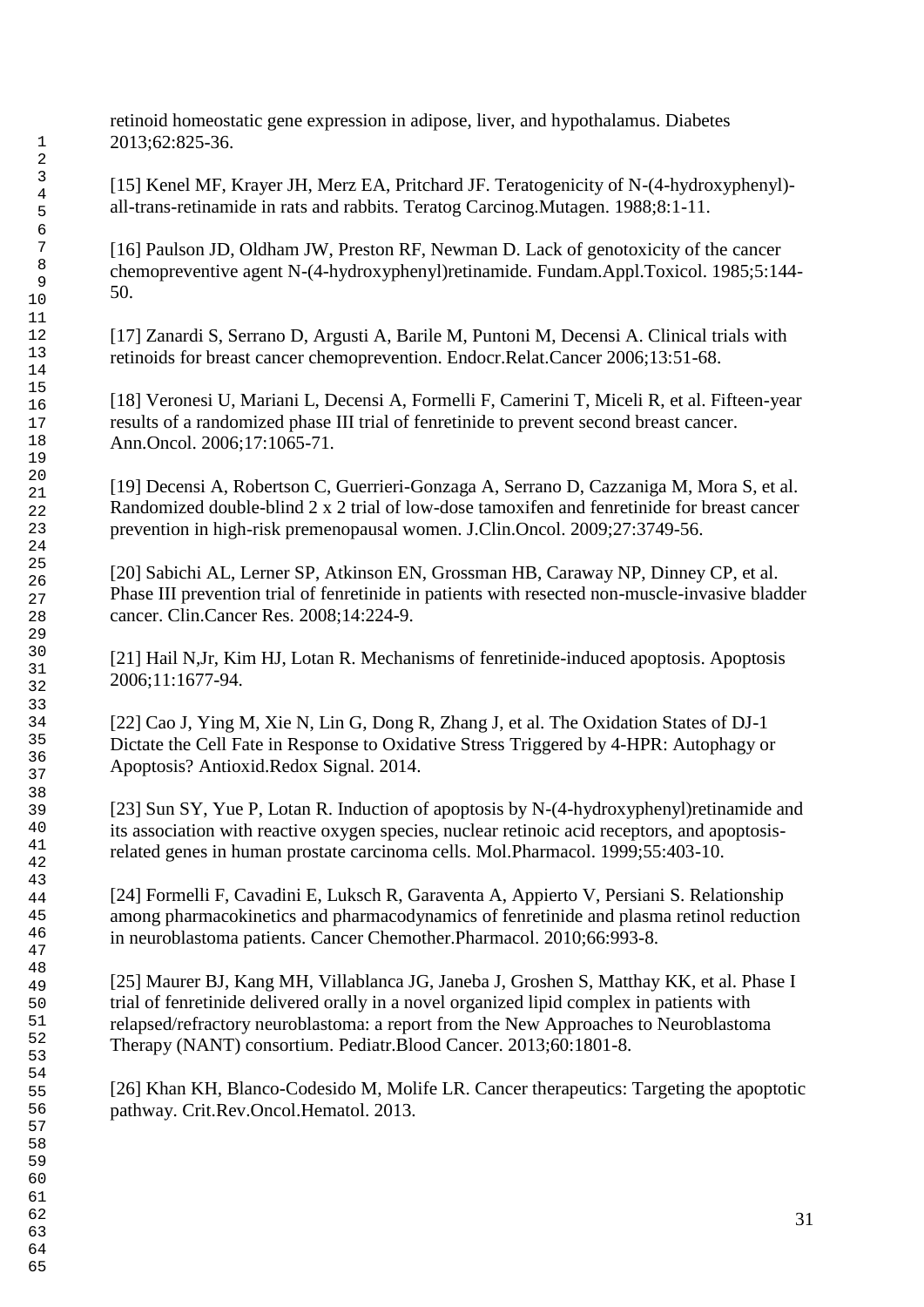retinoid homeostatic gene expression in adipose, liver, and hypothalamus. Diabetes 2013;62:825-36.

[15] Kenel MF, Krayer JH, Merz EA, Pritchard JF. Teratogenicity of N-(4-hydroxyphenyl) all-trans-retinamide in rats and rabbits. Teratog Carcinog.Mutagen. 1988;8:1-11.

[16] Paulson JD, Oldham JW, Preston RF, Newman D. Lack of genotoxicity of the cancer chemopreventive agent N-(4-hydroxyphenyl)retinamide. Fundam.Appl.Toxicol. 1985;5:144- 50.

[17] Zanardi S, Serrano D, Argusti A, Barile M, Puntoni M, Decensi A. Clinical trials with retinoids for breast cancer chemoprevention. Endocr.Relat.Cancer 2006;13:51-68.

[18] Veronesi U, Mariani L, Decensi A, Formelli F, Camerini T, Miceli R, et al. Fifteen-year results of a randomized phase III trial of fenretinide to prevent second breast cancer. Ann.Oncol. 2006;17:1065-71.

[19] Decensi A, Robertson C, Guerrieri-Gonzaga A, Serrano D, Cazzaniga M, Mora S, et al. Randomized double-blind 2 x 2 trial of low-dose tamoxifen and fenretinide for breast cancer prevention in high-risk premenopausal women. J.Clin.Oncol. 2009;27:3749-56.

[20] Sabichi AL, Lerner SP, Atkinson EN, Grossman HB, Caraway NP, Dinney CP, et al. Phase III prevention trial of fenretinide in patients with resected non-muscle-invasive bladder cancer. Clin.Cancer Res. 2008;14:224-9.

[21] Hail N,Jr, Kim HJ, Lotan R. Mechanisms of fenretinide-induced apoptosis. Apoptosis 2006;11:1677-94.

[22] Cao J, Ying M, Xie N, Lin G, Dong R, Zhang J, et al. The Oxidation States of DJ-1 Dictate the Cell Fate in Response to Oxidative Stress Triggered by 4-HPR: Autophagy or Apoptosis? Antioxid.Redox Signal. 2014.

[23] Sun SY, Yue P, Lotan R. Induction of apoptosis by N-(4-hydroxyphenyl) retinamide and its association with reactive oxygen species, nuclear retinoic acid receptors, and apoptosisrelated genes in human prostate carcinoma cells. Mol.Pharmacol. 1999;55:403-10.

[24] Formelli F, Cavadini E, Luksch R, Garaventa A, Appierto V, Persiani S. Relationship among pharmacokinetics and pharmacodynamics of fenretinide and plasma retinol reduction in neuroblastoma patients. Cancer Chemother.Pharmacol. 2010;66:993-8.

[25] Maurer BJ, Kang MH, Villablanca JG, Janeba J, Groshen S, Matthay KK, et al. Phase I trial of fenretinide delivered orally in a novel organized lipid complex in patients with relapsed/refractory neuroblastoma: a report from the New Approaches to Neuroblastoma Therapy (NANT) consortium. Pediatr.Blood Cancer. 2013;60:1801-8.

[26] Khan KH, Blanco-Codesido M, Molife LR. Cancer therapeutics: Targeting the apoptotic pathway. Crit.Rev.Oncol.Hematol. 2013.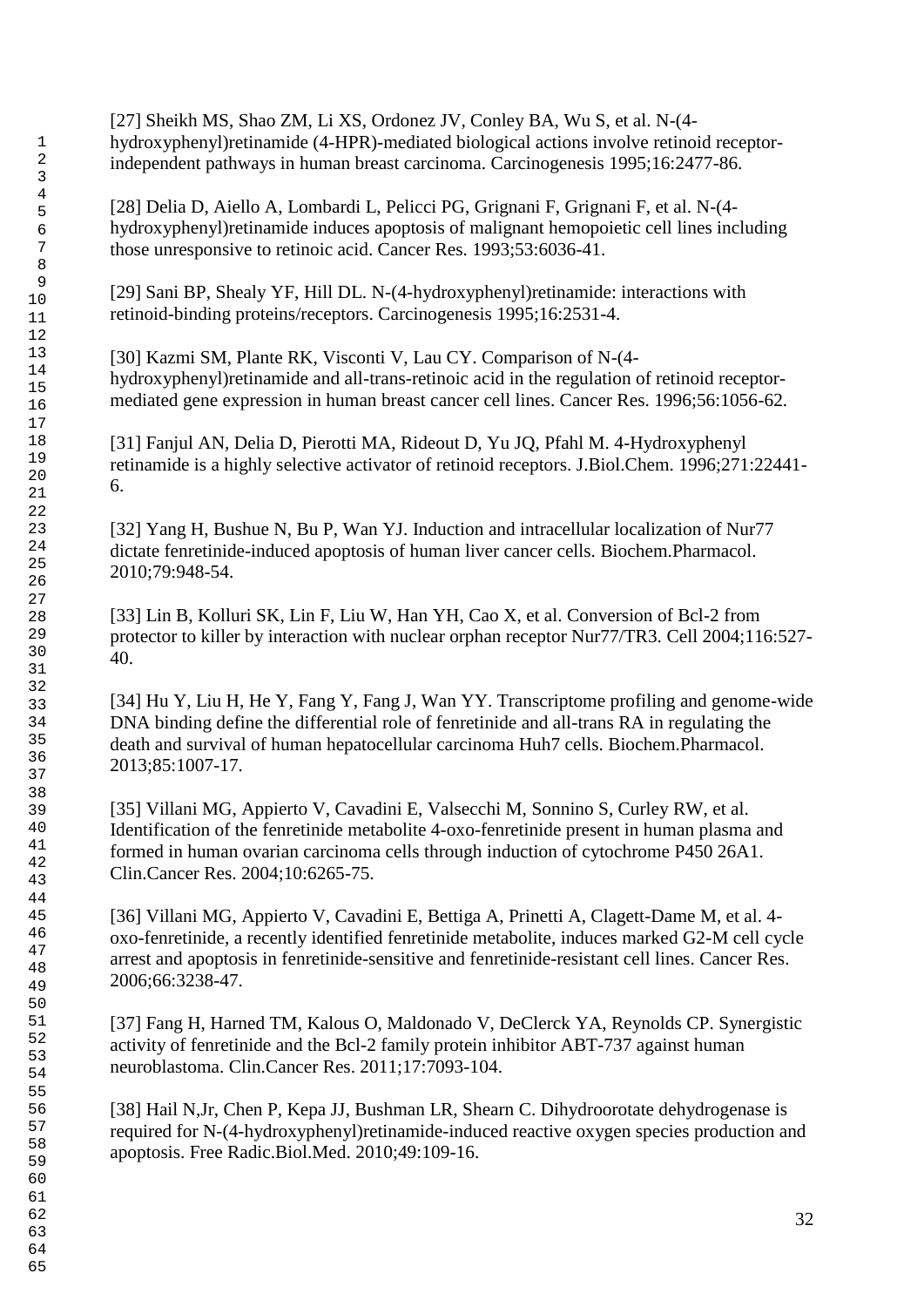[27] Sheikh MS, Shao ZM, Li XS, Ordonez JV, Conley BA, Wu S, et al. N-(4 hydroxyphenyl)retinamide (4-HPR)-mediated biological actions involve retinoid receptorindependent pathways in human breast carcinoma. Carcinogenesis 1995;16:2477-86.

[28] Delia D, Aiello A, Lombardi L, Pelicci PG, Grignani F, Grignani F, et al. N-(4 hydroxyphenyl)retinamide induces apoptosis of malignant hemopoietic cell lines including those unresponsive to retinoic acid. Cancer Res. 1993;53:6036-41.

[29] Sani BP, Shealy YF, Hill DL. N-(4-hydroxyphenyl)retinamide: interactions with retinoid-binding proteins/receptors. Carcinogenesis 1995;16:2531-4.

[30] Kazmi SM, Plante RK, Visconti V, Lau CY. Comparison of N-(4 hydroxyphenyl)retinamide and all-trans-retinoic acid in the regulation of retinoid receptormediated gene expression in human breast cancer cell lines. Cancer Res. 1996;56:1056-62.

[31] Fanjul AN, Delia D, Pierotti MA, Rideout D, Yu JQ, Pfahl M. 4-Hydroxyphenyl retinamide is a highly selective activator of retinoid receptors. J.Biol.Chem. 1996;271:22441- 6.

[32] Yang H, Bushue N, Bu P, Wan YJ. Induction and intracellular localization of Nur77 dictate fenretinide-induced apoptosis of human liver cancer cells. Biochem.Pharmacol. 2010;79:948-54.

[33] Lin B, Kolluri SK, Lin F, Liu W, Han YH, Cao X, et al. Conversion of Bcl-2 from protector to killer by interaction with nuclear orphan receptor Nur77/TR3. Cell 2004;116:527- 40.

[34] Hu Y, Liu H, He Y, Fang Y, Fang J, Wan YY. Transcriptome profiling and genome-wide DNA binding define the differential role of fenretinide and all-trans RA in regulating the death and survival of human hepatocellular carcinoma Huh7 cells. Biochem.Pharmacol. 2013;85:1007-17.

[35] Villani MG, Appierto V, Cavadini E, Valsecchi M, Sonnino S, Curley RW, et al. Identification of the fenretinide metabolite 4-oxo-fenretinide present in human plasma and formed in human ovarian carcinoma cells through induction of cytochrome P450 26A1. Clin.Cancer Res. 2004;10:6265-75.

[36] Villani MG, Appierto V, Cavadini E, Bettiga A, Prinetti A, Clagett-Dame M, et al. 4 oxo-fenretinide, a recently identified fenretinide metabolite, induces marked G2-M cell cycle arrest and apoptosis in fenretinide-sensitive and fenretinide-resistant cell lines. Cancer Res. 2006;66:3238-47.

[37] Fang H, Harned TM, Kalous O, Maldonado V, DeClerck YA, Reynolds CP. Synergistic activity of fenretinide and the Bcl-2 family protein inhibitor ABT-737 against human neuroblastoma. Clin.Cancer Res. 2011;17:7093-104.

[38] Hail N,Jr, Chen P, Kepa JJ, Bushman LR, Shearn C. Dihydroorotate dehydrogenase is required for N-(4-hydroxyphenyl)retinamide-induced reactive oxygen species production and apoptosis. Free Radic.Biol.Med. 2010;49:109-16.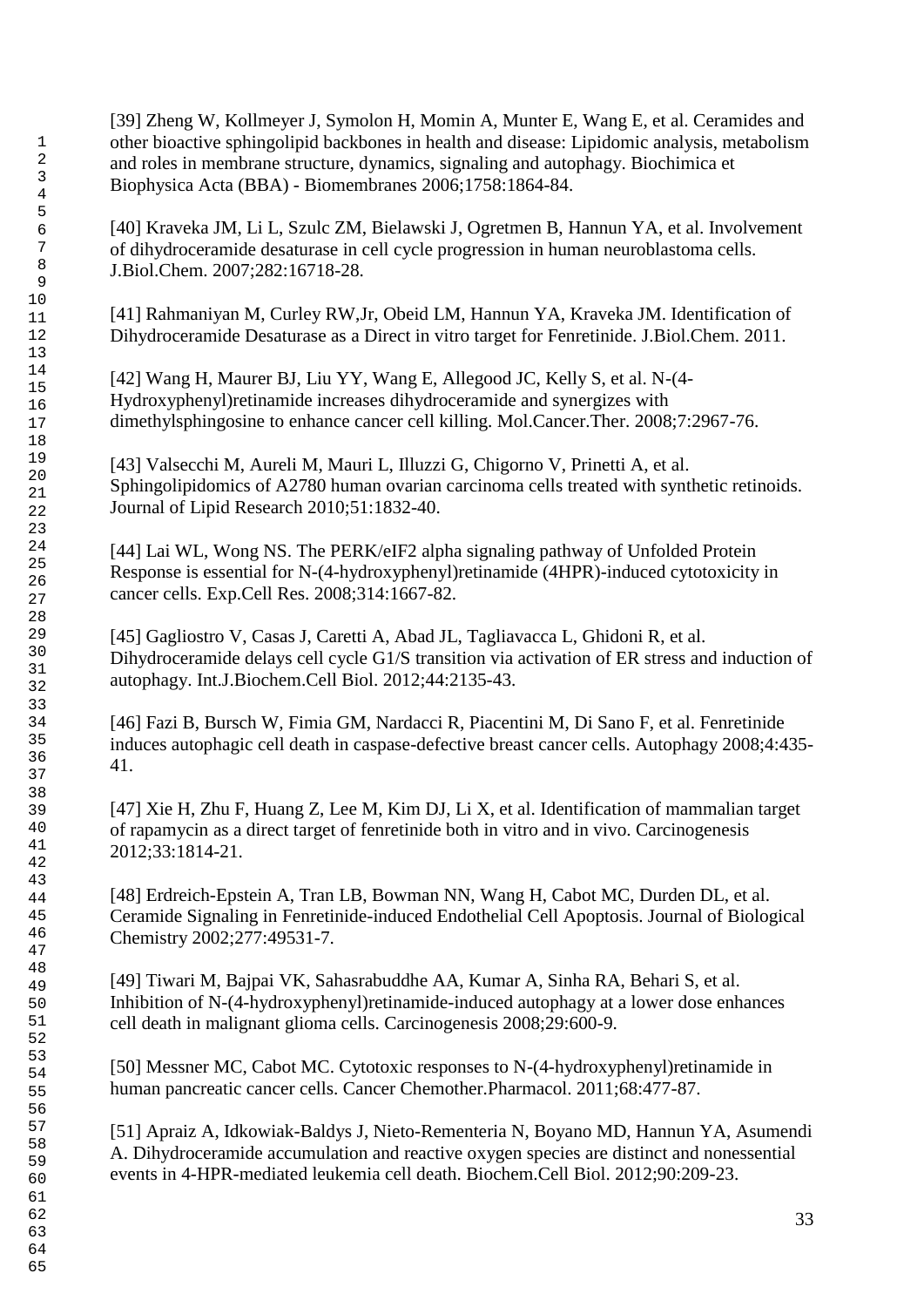[39] Zheng W, Kollmeyer J, Symolon H, Momin A, Munter E, Wang E, et al. Ceramides and other bioactive sphingolipid backbones in health and disease: Lipidomic analysis, metabolism and roles in membrane structure, dynamics, signaling and autophagy. Biochimica et Biophysica Acta (BBA) - Biomembranes 2006;1758:1864-84.

[40] Kraveka JM, Li L, Szulc ZM, Bielawski J, Ogretmen B, Hannun YA, et al. Involvement of dihydroceramide desaturase in cell cycle progression in human neuroblastoma cells. J.Biol.Chem. 2007;282:16718-28.

[41] Rahmaniyan M, Curley RW,Jr, Obeid LM, Hannun YA, Kraveka JM. Identification of Dihydroceramide Desaturase as a Direct in vitro target for Fenretinide. J.Biol.Chem. 2011.

[42] Wang H, Maurer BJ, Liu YY, Wang E, Allegood JC, Kelly S, et al. N-(4- Hydroxyphenyl)retinamide increases dihydroceramide and synergizes with dimethylsphingosine to enhance cancer cell killing. Mol.Cancer.Ther. 2008;7:2967-76.

[43] Valsecchi M, Aureli M, Mauri L, Illuzzi G, Chigorno V, Prinetti A, et al. Sphingolipidomics of A2780 human ovarian carcinoma cells treated with synthetic retinoids. Journal of Lipid Research 2010;51:1832-40.

[44] Lai WL, Wong NS. The PERK/eIF2 alpha signaling pathway of Unfolded Protein Response is essential for N-(4-hydroxyphenyl)retinamide (4HPR)-induced cytotoxicity in cancer cells. Exp.Cell Res. 2008;314:1667-82.

[45] Gagliostro V, Casas J, Caretti A, Abad JL, Tagliavacca L, Ghidoni R, et al. Dihydroceramide delays cell cycle G1/S transition via activation of ER stress and induction of autophagy. Int.J.Biochem.Cell Biol. 2012;44:2135-43.

[46] Fazi B, Bursch W, Fimia GM, Nardacci R, Piacentini M, Di Sano F, et al. Fenretinide induces autophagic cell death in caspase-defective breast cancer cells. Autophagy 2008;4:435- 41.

[47] Xie H, Zhu F, Huang Z, Lee M, Kim DJ, Li X, et al. Identification of mammalian target of rapamycin as a direct target of fenretinide both in vitro and in vivo. Carcinogenesis 2012;33:1814-21.

[48] Erdreich-Epstein A, Tran LB, Bowman NN, Wang H, Cabot MC, Durden DL, et al. Ceramide Signaling in Fenretinide-induced Endothelial Cell Apoptosis. Journal of Biological Chemistry 2002;277:49531-7.

[49] Tiwari M, Bajpai VK, Sahasrabuddhe AA, Kumar A, Sinha RA, Behari S, et al. Inhibition of N-(4-hydroxyphenyl)retinamide-induced autophagy at a lower dose enhances cell death in malignant glioma cells. Carcinogenesis 2008;29:600-9.

[50] Messner MC, Cabot MC. Cytotoxic responses to N-(4-hydroxyphenyl)retinamide in human pancreatic cancer cells. Cancer Chemother.Pharmacol. 2011;68:477-87.

[51] Apraiz A, Idkowiak-Baldys J, Nieto-Rementeria N, Boyano MD, Hannun YA, Asumendi A. Dihydroceramide accumulation and reactive oxygen species are distinct and nonessential events in 4-HPR-mediated leukemia cell death. Biochem.Cell Biol. 2012;90:209-23.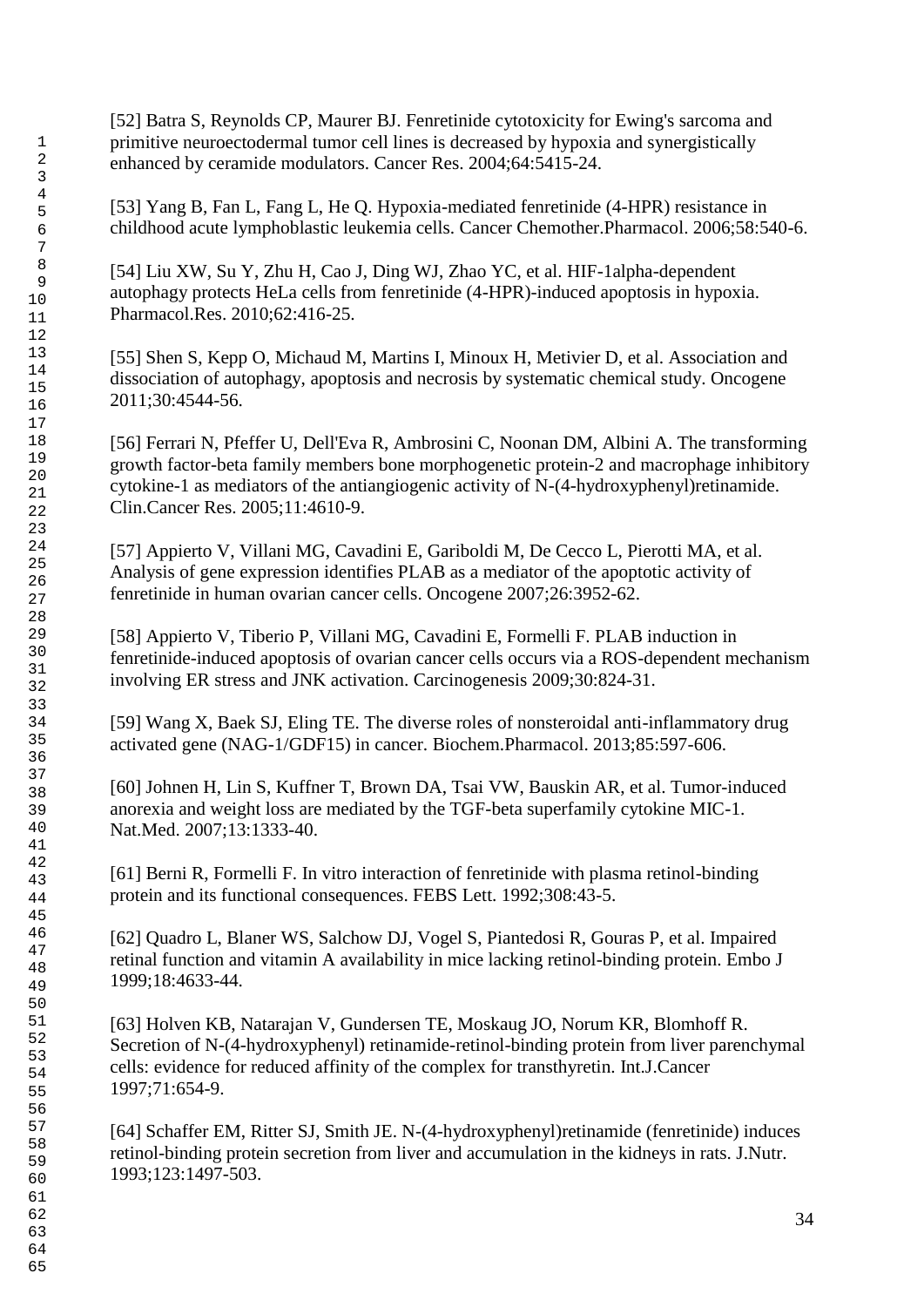[52] Batra S, Reynolds CP, Maurer BJ. Fenretinide cytotoxicity for Ewing's sarcoma and primitive neuroectodermal tumor cell lines is decreased by hypoxia and synergistically enhanced by ceramide modulators. Cancer Res. 2004;64:5415-24.

[53] Yang B, Fan L, Fang L, He Q. Hypoxia-mediated fenretinide (4-HPR) resistance in childhood acute lymphoblastic leukemia cells. Cancer Chemother.Pharmacol. 2006;58:540-6.

[54] Liu XW, Su Y, Zhu H, Cao J, Ding WJ, Zhao YC, et al. HIF-1alpha-dependent autophagy protects HeLa cells from fenretinide (4-HPR)-induced apoptosis in hypoxia. Pharmacol.Res. 2010;62:416-25.

[55] Shen S, Kepp O, Michaud M, Martins I, Minoux H, Metivier D, et al. Association and dissociation of autophagy, apoptosis and necrosis by systematic chemical study. Oncogene 2011;30:4544-56.

[56] Ferrari N, Pfeffer U, Dell'Eva R, Ambrosini C, Noonan DM, Albini A. The transforming growth factor-beta family members bone morphogenetic protein-2 and macrophage inhibitory cytokine-1 as mediators of the antiangiogenic activity of N-(4-hydroxyphenyl)retinamide. Clin.Cancer Res. 2005;11:4610-9.

[57] Appierto V, Villani MG, Cavadini E, Gariboldi M, De Cecco L, Pierotti MA, et al. Analysis of gene expression identifies PLAB as a mediator of the apoptotic activity of fenretinide in human ovarian cancer cells. Oncogene 2007;26:3952-62.

[58] Appierto V, Tiberio P, Villani MG, Cavadini E, Formelli F. PLAB induction in fenretinide-induced apoptosis of ovarian cancer cells occurs via a ROS-dependent mechanism involving ER stress and JNK activation. Carcinogenesis 2009;30:824-31.

[59] Wang X, Baek SJ, Eling TE. The diverse roles of nonsteroidal anti-inflammatory drug activated gene (NAG-1/GDF15) in cancer. Biochem.Pharmacol. 2013;85:597-606.

[60] Johnen H, Lin S, Kuffner T, Brown DA, Tsai VW, Bauskin AR, et al. Tumor-induced anorexia and weight loss are mediated by the TGF-beta superfamily cytokine MIC-1. Nat.Med. 2007;13:1333-40.

[61] Berni R, Formelli F. In vitro interaction of fenretinide with plasma retinol-binding protein and its functional consequences. FEBS Lett. 1992;308:43-5.

[62] Quadro L, Blaner WS, Salchow DJ, Vogel S, Piantedosi R, Gouras P, et al. Impaired retinal function and vitamin A availability in mice lacking retinol-binding protein. Embo J 1999;18:4633-44.

[63] Holven KB, Natarajan V, Gundersen TE, Moskaug JO, Norum KR, Blomhoff R. Secretion of N-(4-hydroxyphenyl) retinamide-retinol-binding protein from liver parenchymal cells: evidence for reduced affinity of the complex for transthyretin. Int.J.Cancer 1997;71:654-9.

[64] Schaffer EM, Ritter SJ, Smith JE. N-(4-hydroxyphenyl)retinamide (fenretinide) induces retinol-binding protein secretion from liver and accumulation in the kidneys in rats. J.Nutr. 1993;123:1497-503.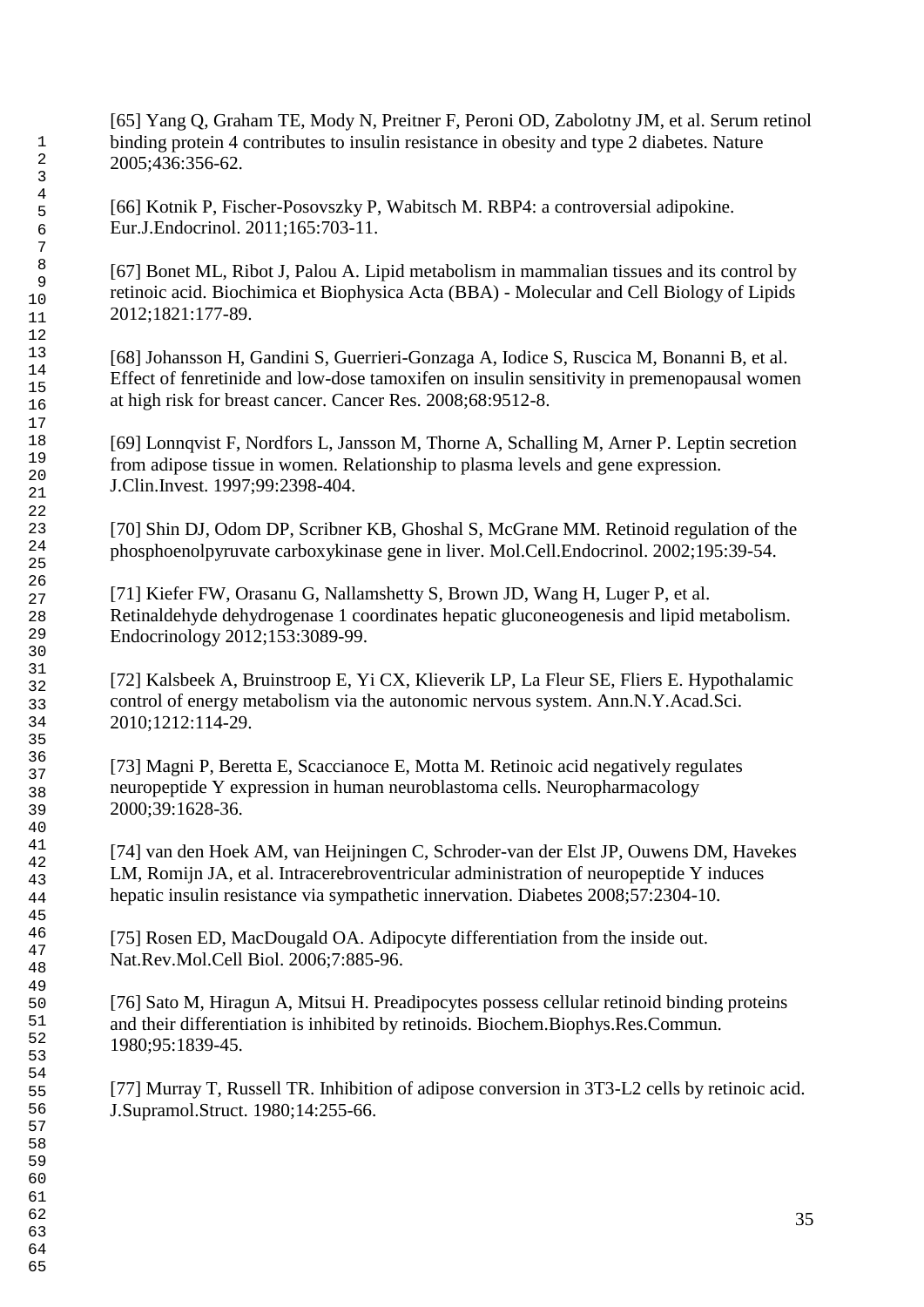[65] Yang Q, Graham TE, Mody N, Preitner F, Peroni OD, Zabolotny JM, et al. Serum retinol binding protein 4 contributes to insulin resistance in obesity and type 2 diabetes. Nature 2005;436:356-62.

[66] Kotnik P, Fischer-Posovszky P, Wabitsch M. RBP4: a controversial adipokine. Eur.J.Endocrinol. 2011;165:703-11.

[67] Bonet ML, Ribot J, Palou A. Lipid metabolism in mammalian tissues and its control by retinoic acid. Biochimica et Biophysica Acta (BBA) - Molecular and Cell Biology of Lipids 2012;1821:177-89.

[68] Johansson H, Gandini S, Guerrieri-Gonzaga A, Iodice S, Ruscica M, Bonanni B, et al. Effect of fenretinide and low-dose tamoxifen on insulin sensitivity in premenopausal women at high risk for breast cancer. Cancer Res. 2008;68:9512-8.

[69] Lonnqvist F, Nordfors L, Jansson M, Thorne A, Schalling M, Arner P. Leptin secretion from adipose tissue in women. Relationship to plasma levels and gene expression. J.Clin.Invest. 1997;99:2398-404.

[70] Shin DJ, Odom DP, Scribner KB, Ghoshal S, McGrane MM. Retinoid regulation of the phosphoenolpyruvate carboxykinase gene in liver. Mol.Cell.Endocrinol. 2002;195:39-54.

[71] Kiefer FW, Orasanu G, Nallamshetty S, Brown JD, Wang H, Luger P, et al. Retinaldehyde dehydrogenase 1 coordinates hepatic gluconeogenesis and lipid metabolism. Endocrinology 2012;153:3089-99.

[72] Kalsbeek A, Bruinstroop E, Yi CX, Klieverik LP, La Fleur SE, Fliers E. Hypothalamic control of energy metabolism via the autonomic nervous system. Ann.N.Y.Acad.Sci. 2010;1212:114-29.

[73] Magni P, Beretta E, Scaccianoce E, Motta M. Retinoic acid negatively regulates neuropeptide Y expression in human neuroblastoma cells. Neuropharmacology 2000;39:1628-36.

[74] van den Hoek AM, van Heijningen C, Schroder-van der Elst JP, Ouwens DM, Havekes LM, Romijn JA, et al. Intracerebroventricular administration of neuropeptide Y induces hepatic insulin resistance via sympathetic innervation. Diabetes 2008;57:2304-10.

[75] Rosen ED, MacDougald OA. Adipocyte differentiation from the inside out. Nat.Rev.Mol.Cell Biol. 2006;7:885-96.

[76] Sato M, Hiragun A, Mitsui H. Preadipocytes possess cellular retinoid binding proteins and their differentiation is inhibited by retinoids. Biochem.Biophys.Res.Commun. 1980;95:1839-45.

[77] Murray T, Russell TR. Inhibition of adipose conversion in 3T3-L2 cells by retinoic acid. J.Supramol.Struct. 1980;14:255-66.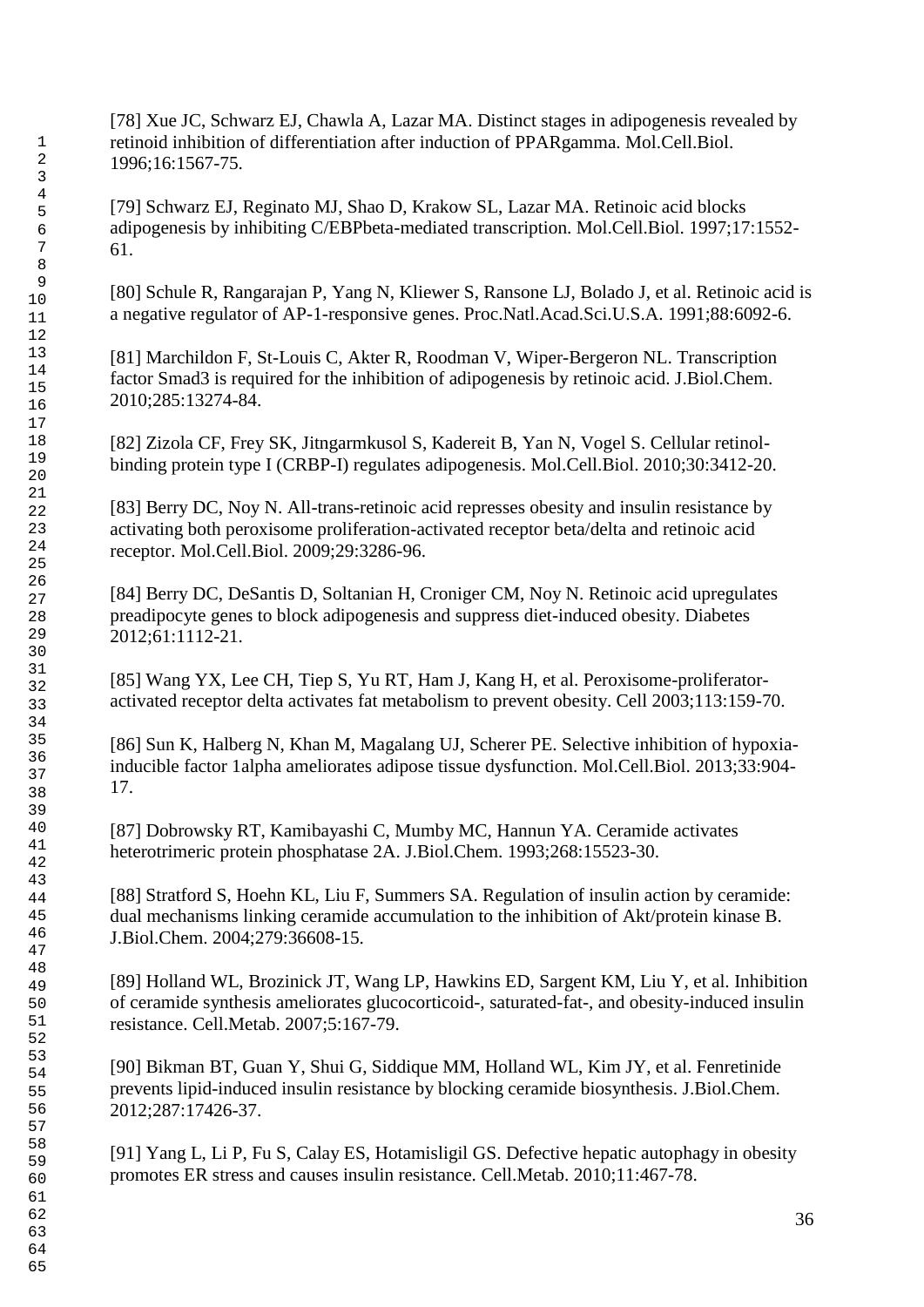[78] Xue JC, Schwarz EJ, Chawla A, Lazar MA. Distinct stages in adipogenesis revealed by retinoid inhibition of differentiation after induction of PPARgamma. Mol.Cell.Biol. 1996;16:1567-75.

[79] Schwarz EJ, Reginato MJ, Shao D, Krakow SL, Lazar MA. Retinoic acid blocks adipogenesis by inhibiting C/EBPbeta-mediated transcription. Mol.Cell.Biol. 1997;17:1552- 61.

[80] Schule R, Rangarajan P, Yang N, Kliewer S, Ransone LJ, Bolado J, et al. Retinoic acid is a negative regulator of AP-1-responsive genes. Proc.Natl.Acad.Sci.U.S.A. 1991;88:6092-6.

[81] Marchildon F, St-Louis C, Akter R, Roodman V, Wiper-Bergeron NL. Transcription factor Smad3 is required for the inhibition of adipogenesis by retinoic acid. J.Biol.Chem. 2010;285:13274-84.

[82] Zizola CF, Frey SK, Jitngarmkusol S, Kadereit B, Yan N, Vogel S. Cellular retinolbinding protein type I (CRBP-I) regulates adipogenesis. Mol.Cell.Biol. 2010;30:3412-20.

[83] Berry DC, Noy N. All-trans-retinoic acid represses obesity and insulin resistance by activating both peroxisome proliferation-activated receptor beta/delta and retinoic acid receptor. Mol.Cell.Biol. 2009;29:3286-96.

[84] Berry DC, DeSantis D, Soltanian H, Croniger CM, Noy N. Retinoic acid upregulates preadipocyte genes to block adipogenesis and suppress diet-induced obesity. Diabetes 2012;61:1112-21.

[85] Wang YX, Lee CH, Tiep S, Yu RT, Ham J, Kang H, et al. Peroxisome-proliferatoractivated receptor delta activates fat metabolism to prevent obesity. Cell 2003;113:159-70.

[86] Sun K, Halberg N, Khan M, Magalang UJ, Scherer PE. Selective inhibition of hypoxiainducible factor 1alpha ameliorates adipose tissue dysfunction. Mol.Cell.Biol. 2013;33:904- 17.

[87] Dobrowsky RT, Kamibayashi C, Mumby MC, Hannun YA. Ceramide activates heterotrimeric protein phosphatase 2A. J.Biol.Chem. 1993;268:15523-30.

[88] Stratford S, Hoehn KL, Liu F, Summers SA. Regulation of insulin action by ceramide: dual mechanisms linking ceramide accumulation to the inhibition of Akt/protein kinase B. J.Biol.Chem. 2004;279:36608-15.

[89] Holland WL, Brozinick JT, Wang LP, Hawkins ED, Sargent KM, Liu Y, et al. Inhibition of ceramide synthesis ameliorates glucocorticoid-, saturated-fat-, and obesity-induced insulin resistance. Cell.Metab. 2007;5:167-79.

[90] Bikman BT, Guan Y, Shui G, Siddique MM, Holland WL, Kim JY, et al. Fenretinide prevents lipid-induced insulin resistance by blocking ceramide biosynthesis. J.Biol.Chem. 2012;287:17426-37.

[91] Yang L, Li P, Fu S, Calay ES, Hotamisligil GS. Defective hepatic autophagy in obesity promotes ER stress and causes insulin resistance. Cell.Metab. 2010;11:467-78.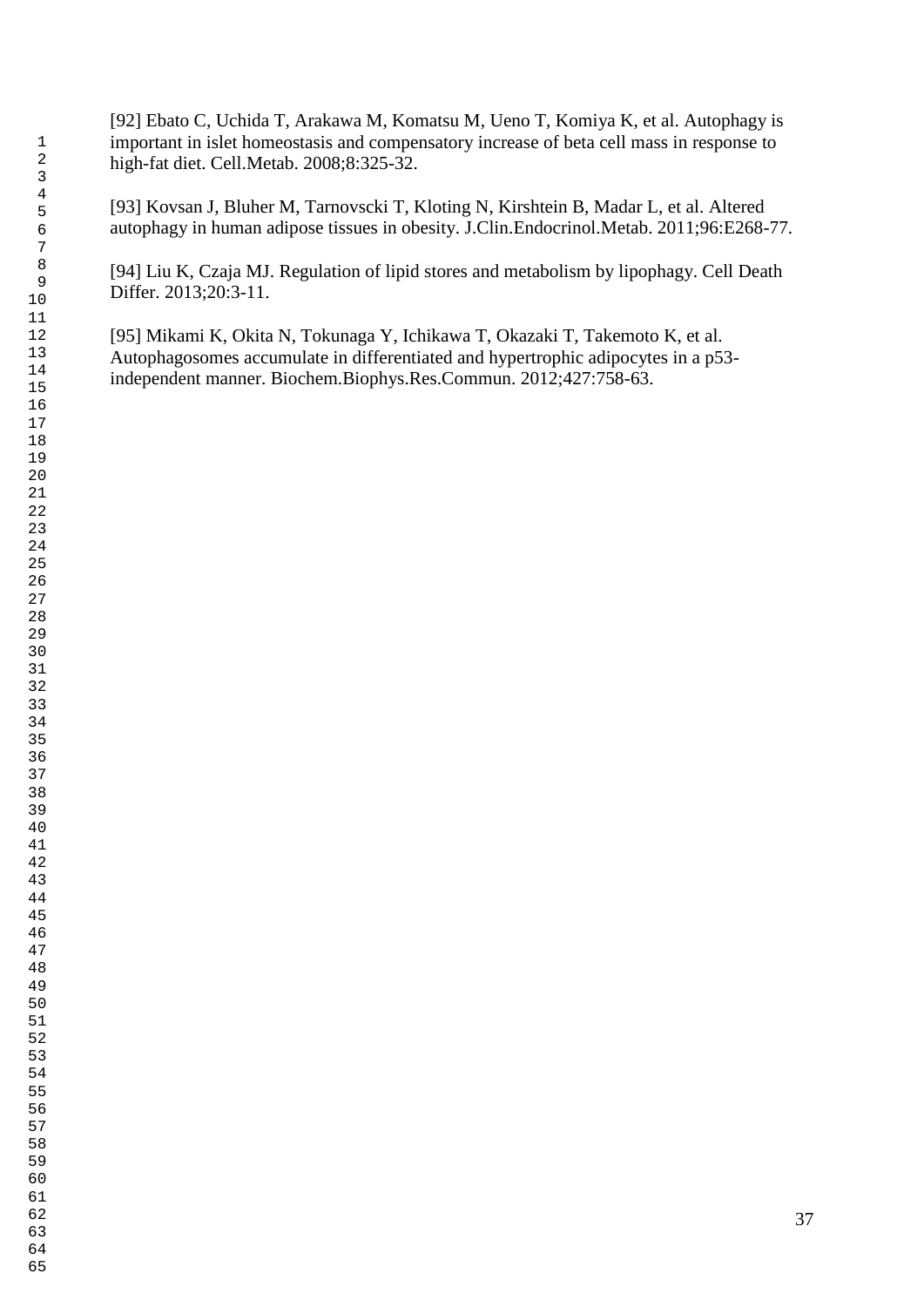[92] Ebato C, Uchida T, Arakawa M, Komatsu M, Ueno T, Komiya K, et al. Autophagy is important in islet homeostasis and compensatory increase of beta cell mass in response to high-fat diet. Cell.Metab. 2008;8:325-32.

[93] Kovsan J, Bluher M, Tarnovscki T, Kloting N, Kirshtein B, Madar L, et al. Altered autophagy in human adipose tissues in obesity. J.Clin.Endocrinol.Metab. 2011;96:E268-77.

[94] Liu K, Czaja MJ. Regulation of lipid stores and metabolism by lipophagy. Cell Death Differ. 2013;20:3-11.

[95] Mikami K, Okita N, Tokunaga Y, Ichikawa T, Okazaki T, Takemoto K, et al. Autophagosomes accumulate in differentiated and hypertrophic adipocytes in a p53 independent manner. Biochem.Biophys.Res.Commun. 2012;427:758-63.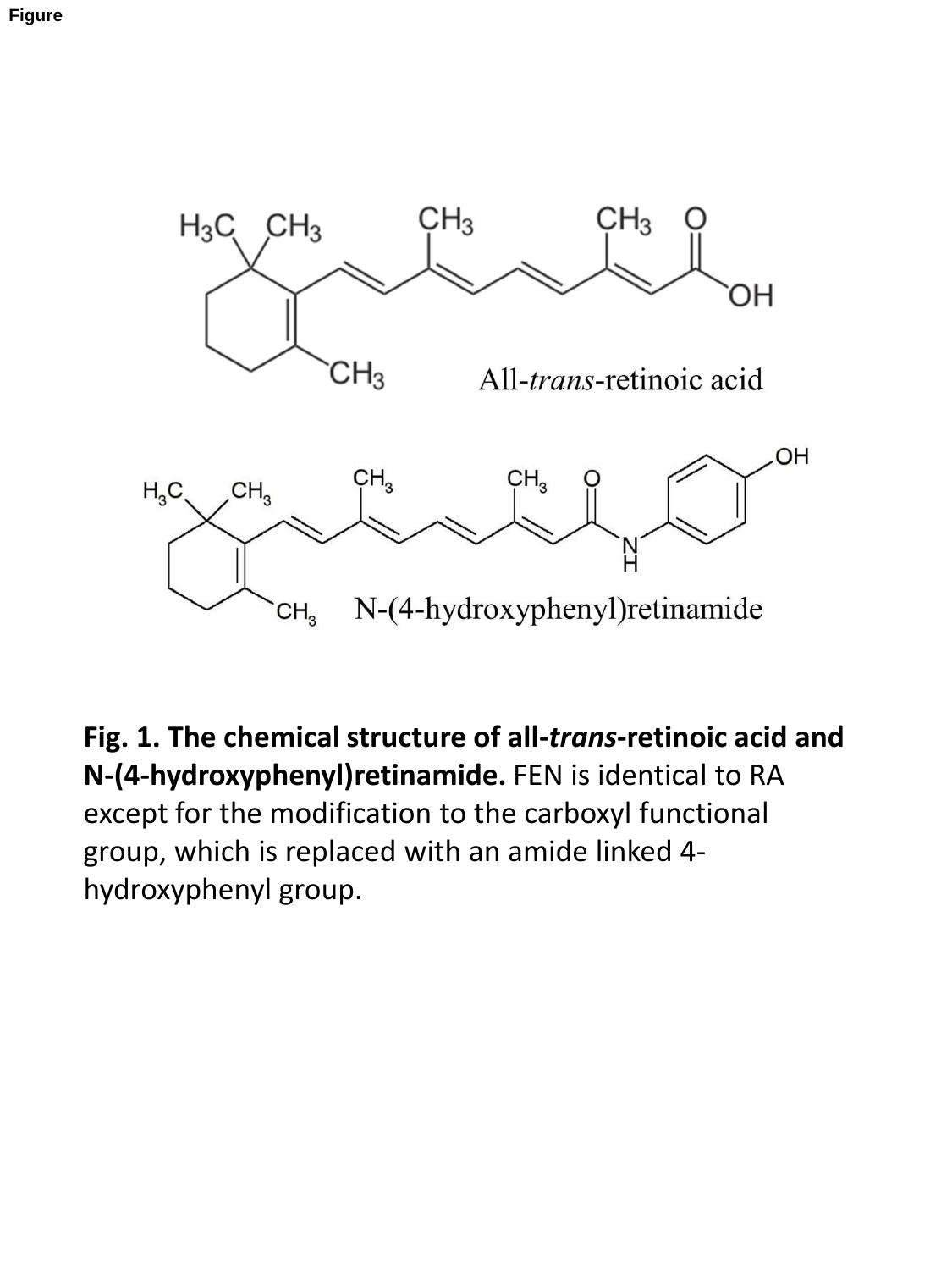

**Fig. 1. The chemical structure of all-***trans***-retinoic acid and N-(4-hydroxyphenyl)retinamide.** FEN is identical to RA except for the modification to the carboxyl functional group, which is replaced with an amide linked 4 hydroxyphenyl group.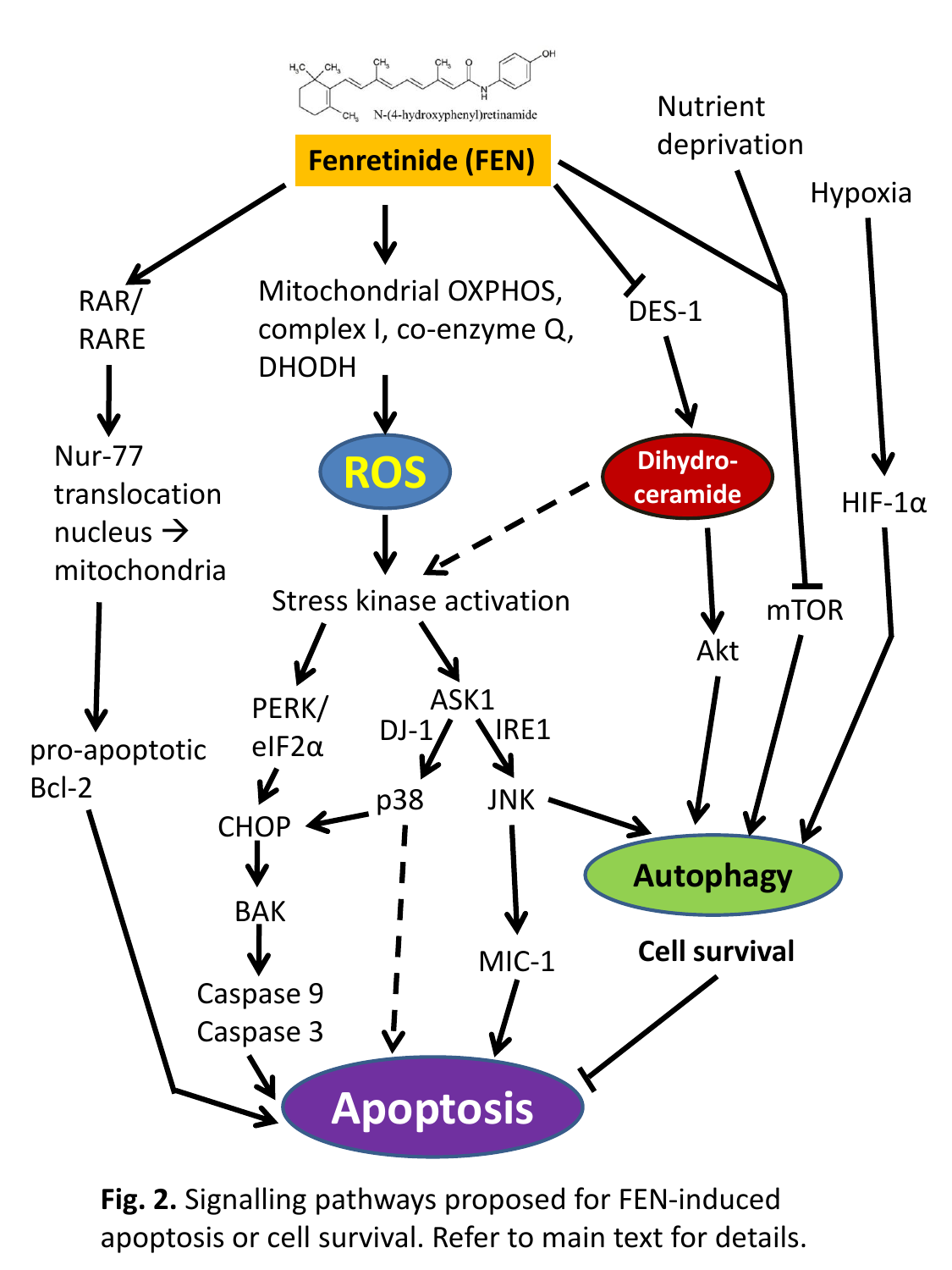

**Fig. 2.** Signalling pathways proposed for FEN-induced apoptosis or cell survival. Refer to main text for details.